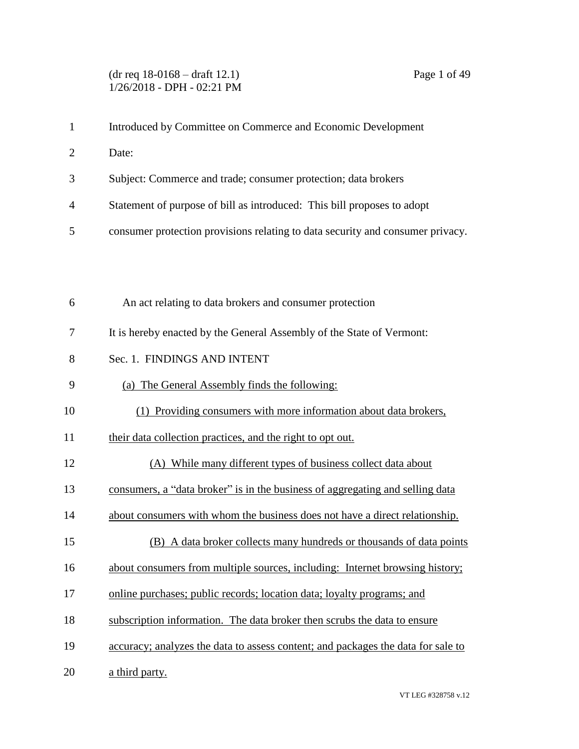# (dr req 18-0168 – draft 12.1) Page 1 of 49 1/26/2018 - DPH - 02:21 PM

| $\mathbf{1}$   | Introduced by Committee on Commerce and Economic Development                     |
|----------------|----------------------------------------------------------------------------------|
| $\overline{2}$ | Date:                                                                            |
| 3              | Subject: Commerce and trade; consumer protection; data brokers                   |
| 4              | Statement of purpose of bill as introduced: This bill proposes to adopt          |
| 5              | consumer protection provisions relating to data security and consumer privacy.   |
|                |                                                                                  |
|                |                                                                                  |
| 6              | An act relating to data brokers and consumer protection                          |
| 7              | It is hereby enacted by the General Assembly of the State of Vermont:            |
| 8              | Sec. 1. FINDINGS AND INTENT                                                      |
| 9              | (a) The General Assembly finds the following:                                    |
| 10             | (1) Providing consumers with more information about data brokers,                |
| 11             | their data collection practices, and the right to opt out.                       |
| 12             | (A) While many different types of business collect data about                    |
| 13             | consumers, a "data broker" is in the business of aggregating and selling data    |
| 14             | about consumers with whom the business does not have a direct relationship.      |
| 15             | (B) A data broker collects many hundreds or thousands of data points             |
| 16             | about consumers from multiple sources, including: Internet browsing history;     |
| 17             | online purchases; public records; location data; loyalty programs; and           |
| 18             | subscription information. The data broker then scrubs the data to ensure         |
| 19             | accuracy; analyzes the data to assess content; and packages the data for sale to |
| 20             | a third party.                                                                   |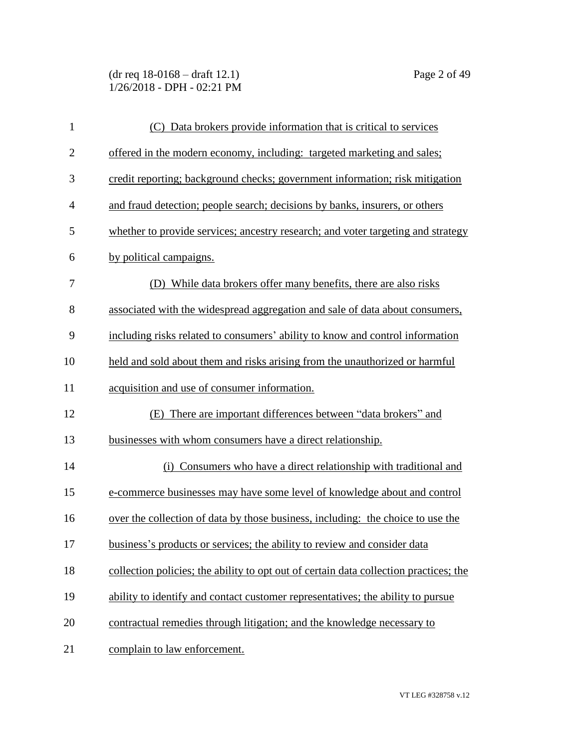(dr req 18-0168 – draft 12.1) Page 2 of 49 1/26/2018 - DPH - 02:21 PM

| $\mathbf{1}$   | (C) Data brokers provide information that is critical to services                     |
|----------------|---------------------------------------------------------------------------------------|
| $\mathbf{2}$   | offered in the modern economy, including: targeted marketing and sales;               |
| 3              | credit reporting; background checks; government information; risk mitigation          |
| $\overline{4}$ | and fraud detection; people search; decisions by banks, insurers, or others           |
| 5              | whether to provide services; ancestry research; and voter targeting and strategy      |
| 6              | by political campaigns.                                                               |
| 7              | (D) While data brokers offer many benefits, there are also risks                      |
| 8              | associated with the widespread aggregation and sale of data about consumers,          |
| 9              | including risks related to consumers' ability to know and control information         |
| 10             | held and sold about them and risks arising from the unauthorized or harmful           |
| 11             | acquisition and use of consumer information.                                          |
| 12             | (E) There are important differences between "data brokers" and                        |
| 13             | businesses with whom consumers have a direct relationship.                            |
| 14             | (i) Consumers who have a direct relationship with traditional and                     |
| 15             | e-commerce businesses may have some level of knowledge about and control              |
| 16             | over the collection of data by those business, including: the choice to use the       |
| 17             | business's products or services; the ability to review and consider data              |
| 18             | collection policies; the ability to opt out of certain data collection practices; the |
| 19             | ability to identify and contact customer representatives; the ability to pursue       |
| 20             | contractual remedies through litigation; and the knowledge necessary to               |
| 21             | complain to law enforcement.                                                          |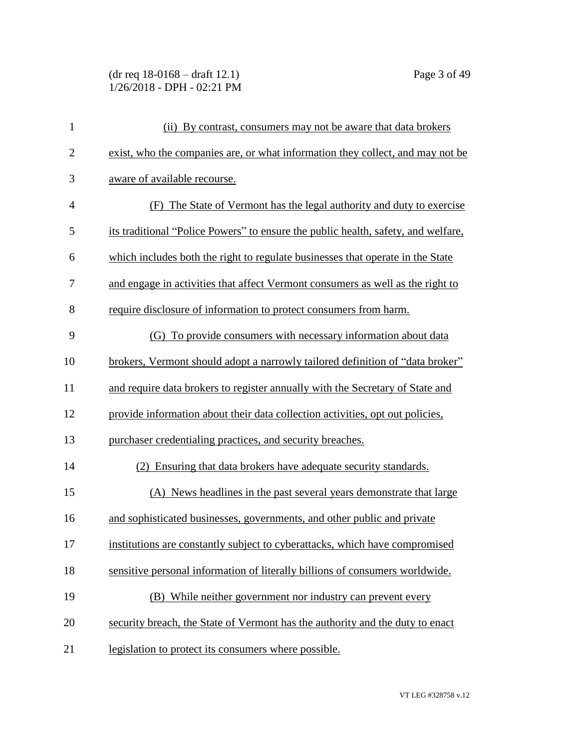(dr req 18-0168 – draft 12.1) Page 3 of 49 1/26/2018 - DPH - 02:21 PM

| $\mathbf{1}$   | (ii) By contrast, consumers may not be aware that data brokers                       |
|----------------|--------------------------------------------------------------------------------------|
| $\overline{2}$ | exist, who the companies are, or what information they collect, and may not be       |
| 3              | aware of available recourse.                                                         |
| $\overline{4}$ | (F) The State of Vermont has the legal authority and duty to exercise                |
| 5              | its traditional "Police Powers" to ensure the public health, safety, and welfare,    |
| 6              | which includes both the right to regulate businesses that operate in the State       |
| 7              | and engage in activities that affect Vermont consumers as well as the right to       |
| 8              | require disclosure of information to protect consumers from harm.                    |
| 9              | (G) To provide consumers with necessary information about data                       |
| 10             | <u>brokers, Vermont should adopt a narrowly tailored definition of "data broker"</u> |
| 11             | and require data brokers to register annually with the Secretary of State and        |
| 12             | provide information about their data collection activities, opt out policies,        |
| 13             | purchaser credentialing practices, and security breaches.                            |
| 14             | (2) Ensuring that data brokers have adequate security standards.                     |
| 15             | (A) News headlines in the past several years demonstrate that large                  |
| 16             | and sophisticated businesses, governments, and other public and private              |
| 17             | institutions are constantly subject to cyberattacks, which have compromised          |
| 18             | sensitive personal information of literally billions of consumers worldwide.         |
| 19             | (B) While neither government nor industry can prevent every                          |
| 20             | security breach, the State of Vermont has the authority and the duty to enact        |
| 21             | legislation to protect its consumers where possible.                                 |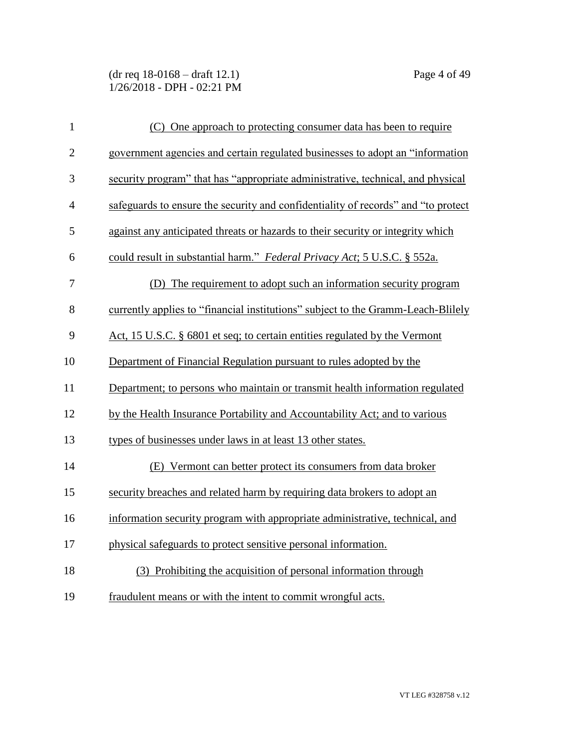(dr req 18-0168 – draft 12.1) Page 4 of 49 1/26/2018 - DPH - 02:21 PM

| $\mathbf{1}$   | (C) One approach to protecting consumer data has been to require                  |
|----------------|-----------------------------------------------------------------------------------|
| $\overline{2}$ | government agencies and certain regulated businesses to adopt an "information"    |
| 3              | security program" that has "appropriate administrative, technical, and physical   |
| $\overline{4}$ | safeguards to ensure the security and confidentiality of records" and "to protect |
| 5              | against any anticipated threats or hazards to their security or integrity which   |
| 6              | could result in substantial harm." Federal Privacy Act; 5 U.S.C. § 552a.          |
| 7              | (D) The requirement to adopt such an information security program                 |
| 8              | currently applies to "financial institutions" subject to the Gramm-Leach-Blilely  |
| 9              | <u>Act, 15 U.S.C. § 6801 et seq; to certain entities regulated by the Vermont</u> |
| 10             | Department of Financial Regulation pursuant to rules adopted by the               |
| 11             | Department; to persons who maintain or transmit health information regulated      |
| 12             | by the Health Insurance Portability and Accountability Act; and to various        |
| 13             | types of businesses under laws in at least 13 other states.                       |
| 14             | (E) Vermont can better protect its consumers from data broker                     |
| 15             | security breaches and related harm by requiring data brokers to adopt an          |
| 16             | information security program with appropriate administrative, technical, and      |
| 17             | physical safeguards to protect sensitive personal information.                    |
| 18             | (3) Prohibiting the acquisition of personal information through                   |
| 19             | fraudulent means or with the intent to commit wrongful acts.                      |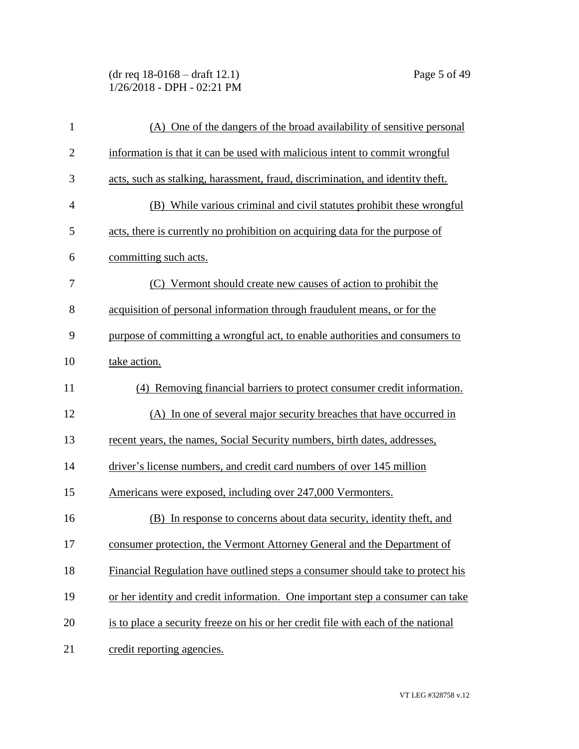(dr req 18-0168 – draft 12.1) Page 5 of 49 1/26/2018 - DPH - 02:21 PM

| $\mathbf{1}$   | (A) One of the dangers of the broad availability of sensitive personal            |
|----------------|-----------------------------------------------------------------------------------|
| $\overline{2}$ | information is that it can be used with malicious intent to commit wrongful       |
| 3              | acts, such as stalking, harassment, fraud, discrimination, and identity theft.    |
| $\overline{4}$ | (B) While various criminal and civil statutes prohibit these wrongful             |
| 5              | acts, there is currently no prohibition on acquiring data for the purpose of      |
| 6              | committing such acts.                                                             |
| 7              | (C) Vermont should create new causes of action to prohibit the                    |
| 8              | acquisition of personal information through fraudulent means, or for the          |
| 9              | purpose of committing a wrongful act, to enable authorities and consumers to      |
| 10             | take action.                                                                      |
| 11             | (4) Removing financial barriers to protect consumer credit information.           |
| 12             | (A) In one of several major security breaches that have occurred in               |
| 13             | recent years, the names, Social Security numbers, birth dates, addresses,         |
| 14             | driver's license numbers, and credit card numbers of over 145 million             |
| 15             | Americans were exposed, including over 247,000 Vermonters.                        |
| 16             | (B) In response to concerns about data security, identity theft, and              |
| 17             | consumer protection, the Vermont Attorney General and the Department of           |
| 18             | Financial Regulation have outlined steps a consumer should take to protect his    |
| 19             | or her identity and credit information. One important step a consumer can take    |
| 20             | is to place a security freeze on his or her credit file with each of the national |
| 21             | credit reporting agencies.                                                        |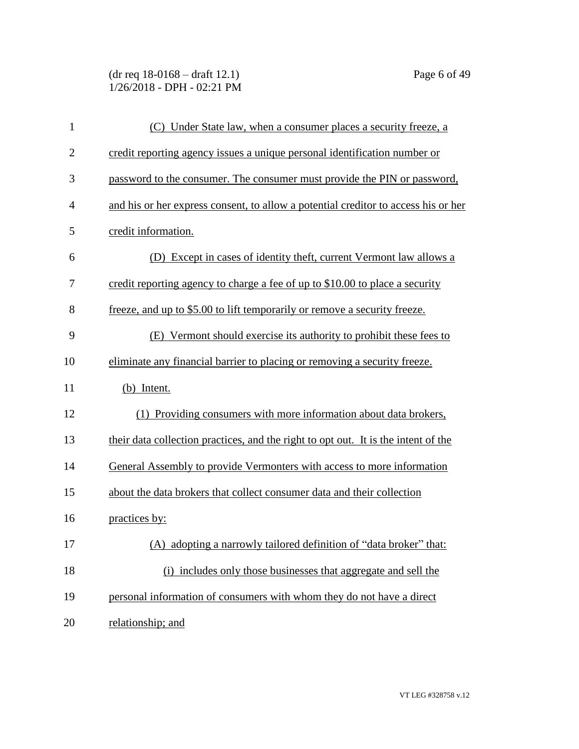(dr req 18-0168 – draft 12.1) Page 6 of 49 1/26/2018 - DPH - 02:21 PM

| $\mathbf{1}$ | (C) Under State law, when a consumer places a security freeze, a                   |
|--------------|------------------------------------------------------------------------------------|
| $\mathbf{2}$ | credit reporting agency issues a unique personal identification number or          |
| 3            | password to the consumer. The consumer must provide the PIN or password,           |
| 4            | and his or her express consent, to allow a potential creditor to access his or her |
| 5            | credit information.                                                                |
| 6            | (D) Except in cases of identity theft, current Vermont law allows a                |
| 7            | credit reporting agency to charge a fee of up to \$10.00 to place a security       |
| 8            | freeze, and up to \$5.00 to lift temporarily or remove a security freeze.          |
| 9            | (E) Vermont should exercise its authority to prohibit these fees to                |
| 10           | eliminate any financial barrier to placing or removing a security freeze.          |
| 11           | (b) Intent.                                                                        |
| 12           | (1) Providing consumers with more information about data brokers,                  |
| 13           | their data collection practices, and the right to opt out. It is the intent of the |
| 14           | General Assembly to provide Vermonters with access to more information             |
| 15           | about the data brokers that collect consumer data and their collection             |
| 16           | practices by:                                                                      |
| 17           | (A) adopting a narrowly tailored definition of "data broker" that:                 |
| 18           | (i) includes only those businesses that aggregate and sell the                     |
| 19           | personal information of consumers with whom they do not have a direct              |
| 20           | relationship; and                                                                  |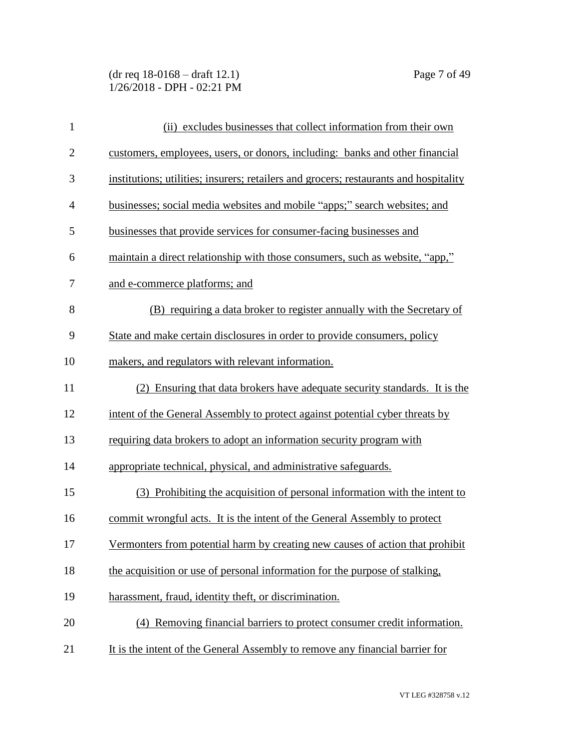(dr req 18-0168 – draft 12.1) Page 7 of 49 1/26/2018 - DPH - 02:21 PM

| $\mathbf{1}$   | (ii) excludes businesses that collect information from their own                      |
|----------------|---------------------------------------------------------------------------------------|
| $\overline{2}$ | customers, employees, users, or donors, including: banks and other financial          |
| 3              | institutions; utilities; insurers; retailers and grocers; restaurants and hospitality |
| $\overline{4}$ | businesses; social media websites and mobile "apps;" search websites; and             |
| 5              | businesses that provide services for consumer-facing businesses and                   |
| 6              | maintain a direct relationship with those consumers, such as website, "app,"          |
| 7              | and e-commerce platforms; and                                                         |
| 8              | (B) requiring a data broker to register annually with the Secretary of                |
| 9              | State and make certain disclosures in order to provide consumers, policy              |
| 10             | makers, and regulators with relevant information.                                     |
| 11             | (2) Ensuring that data brokers have adequate security standards. It is the            |
| 12             | intent of the General Assembly to protect against potential cyber threats by          |
| 13             | requiring data brokers to adopt an information security program with                  |
| 14             | appropriate technical, physical, and administrative safeguards.                       |
| 15             | (3) Prohibiting the acquisition of personal information with the intent to            |
| 16             | commit wrongful acts. It is the intent of the General Assembly to protect             |
| 17             | Vermonters from potential harm by creating new causes of action that prohibit         |
| 18             | the acquisition or use of personal information for the purpose of stalking,           |
| 19             | harassment, fraud, identity theft, or discrimination.                                 |
| 20             | (4) Removing financial barriers to protect consumer credit information.               |
| 21             | It is the intent of the General Assembly to remove any financial barrier for          |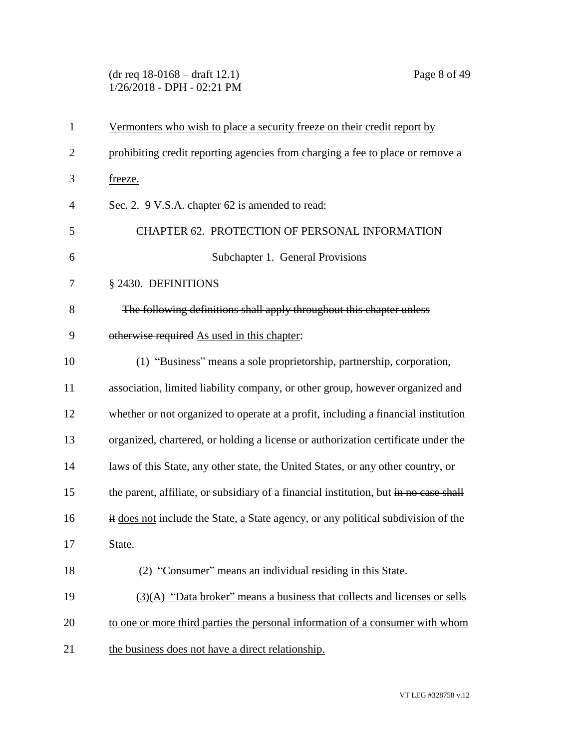(dr req 18-0168 – draft 12.1) Page 8 of 49 1/26/2018 - DPH - 02:21 PM

| $\mathbf{1}$   | Vermonters who wish to place a security freeze on their credit report by              |
|----------------|---------------------------------------------------------------------------------------|
| $\overline{2}$ | prohibiting credit reporting agencies from charging a fee to place or remove a        |
| 3              | freeze.                                                                               |
| $\overline{4}$ | Sec. 2. 9 V.S.A. chapter 62 is amended to read:                                       |
| 5              | CHAPTER 62. PROTECTION OF PERSONAL INFORMATION                                        |
| 6              | Subchapter 1. General Provisions                                                      |
| 7              | § 2430. DEFINITIONS                                                                   |
| 8              | The following definitions shall apply throughout this chapter unless                  |
| 9              | otherwise required As used in this chapter:                                           |
| 10             | (1) "Business" means a sole proprietorship, partnership, corporation,                 |
| 11             | association, limited liability company, or other group, however organized and         |
| 12             | whether or not organized to operate at a profit, including a financial institution    |
| 13             | organized, chartered, or holding a license or authorization certificate under the     |
| 14             | laws of this State, any other state, the United States, or any other country, or      |
| 15             | the parent, affiliate, or subsidiary of a financial institution, but in no case shall |
| 16             | it does not include the State, a State agency, or any political subdivision of the    |
| 17             | State.                                                                                |
| 18             | (2) "Consumer" means an individual residing in this State.                            |
| 19             | (3)(A) "Data broker" means a business that collects and licenses or sells             |
| 20             | to one or more third parties the personal information of a consumer with whom         |
| 21             | the business does not have a direct relationship.                                     |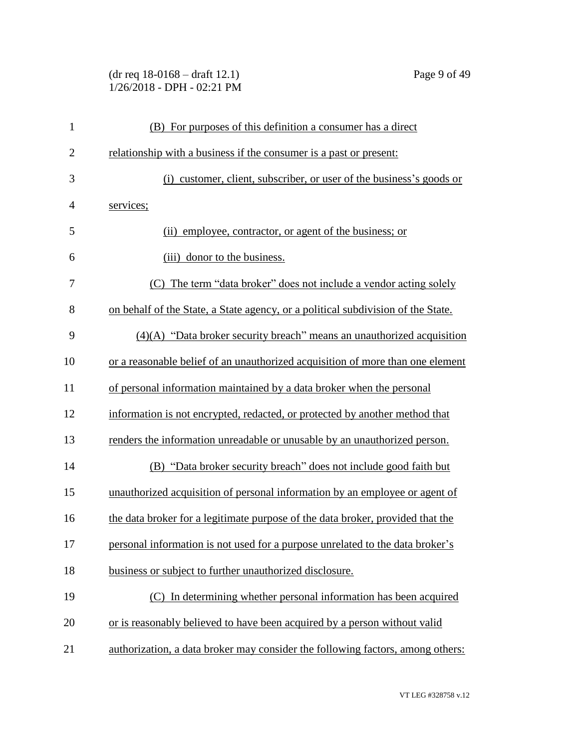(dr req 18-0168 – draft 12.1) Page 9 of 49 1/26/2018 - DPH - 02:21 PM

| $\mathbf{1}$   | (B) For purposes of this definition a consumer has a direct                      |
|----------------|----------------------------------------------------------------------------------|
| $\overline{2}$ | relationship with a business if the consumer is a past or present:               |
| 3              | customer, client, subscriber, or user of the business's goods or<br>(i)          |
| $\overline{4}$ | services;                                                                        |
| 5              | employee, contractor, or agent of the business; or<br>(i)                        |
| 6              | (iii) donor to the business.                                                     |
| 7              | (C) The term "data broker" does not include a vendor acting solely               |
| 8              | on behalf of the State, a State agency, or a political subdivision of the State. |
| 9              | $(4)(A)$ "Data broker security breach" means an unauthorized acquisition         |
| 10             | or a reasonable belief of an unauthorized acquisition of more than one element   |
| 11             | of personal information maintained by a data broker when the personal            |
| 12             | information is not encrypted, redacted, or protected by another method that      |
| 13             | renders the information unreadable or unusable by an unauthorized person.        |
| 14             | (B) "Data broker security breach" does not include good faith but                |
| 15             | unauthorized acquisition of personal information by an employee or agent of      |
| 16             | the data broker for a legitimate purpose of the data broker, provided that the   |
| 17             | personal information is not used for a purpose unrelated to the data broker's    |
| 18             | business or subject to further unauthorized disclosure.                          |
| 19             | (C) In determining whether personal information has been acquired                |
| 20             | or is reasonably believed to have been acquired by a person without valid        |
| 21             | authorization, a data broker may consider the following factors, among others:   |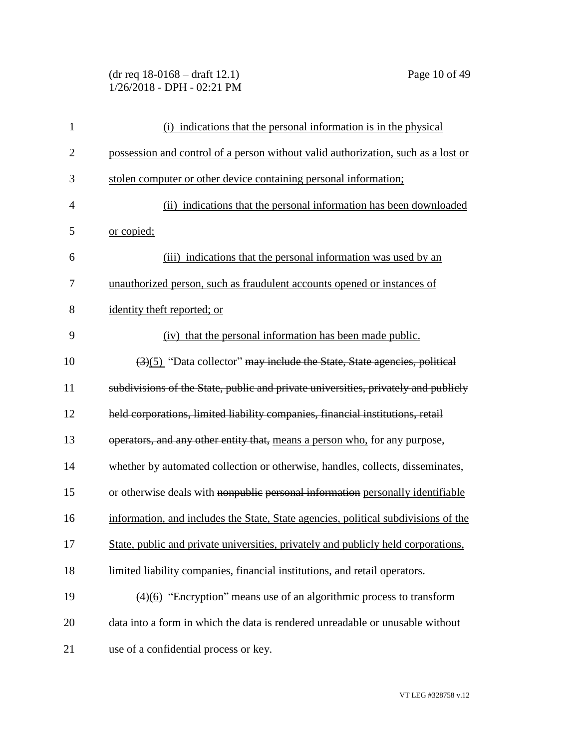(dr req 18-0168 – draft 12.1) Page 10 of 49 1/26/2018 - DPH - 02:21 PM

| $\mathbf{1}$   | (i) indications that the personal information is in the physical                   |
|----------------|------------------------------------------------------------------------------------|
| $\overline{c}$ | possession and control of a person without valid authorization, such as a lost or  |
| 3              | stolen computer or other device containing personal information;                   |
| $\overline{4}$ | (ii) indications that the personal information has been downloaded                 |
| 5              | <u>or copied;</u>                                                                  |
| 6              | (iii) indications that the personal information was used by an                     |
| 7              | unauthorized person, such as fraudulent accounts opened or instances of            |
| 8              | identity theft reported; or                                                        |
| 9              | (iv) that the personal information has been made public.                           |
| 10             | $(3)(5)$ "Data collector" may include the State, State agencies, political         |
| 11             | subdivisions of the State, public and private universities, privately and publicly |
| 12             | held corporations, limited liability companies, financial institutions, retail     |
| 13             | operators, and any other entity that, means a person who, for any purpose,         |
| 14             | whether by automated collection or otherwise, handles, collects, disseminates,     |
| 15             | or otherwise deals with nonpublic personal information personally identifiable     |
| 16             | information, and includes the State, State agencies, political subdivisions of the |
| 17             | State, public and private universities, privately and publicly held corporations,  |
| 18             | limited liability companies, financial institutions, and retail operators.         |
| 19             | $(4)(6)$ "Encryption" means use of an algorithmic process to transform             |
| 20             | data into a form in which the data is rendered unreadable or unusable without      |
| 21             | use of a confidential process or key.                                              |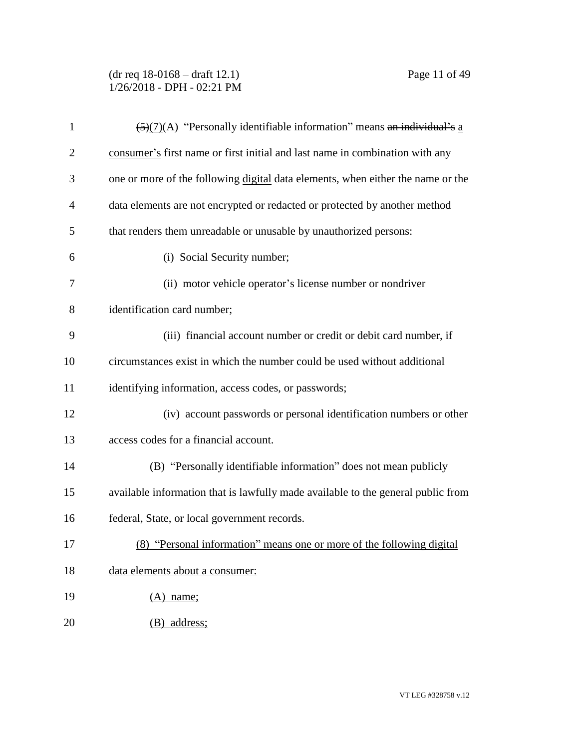(dr req 18-0168 – draft 12.1) Page 11 of 49 1/26/2018 - DPH - 02:21 PM

| $\mathbf{1}$   | $\frac{5}{(2)(7)}$ (A) "Personally identifiable information" means an individual's a |
|----------------|--------------------------------------------------------------------------------------|
| $\overline{2}$ | consumer's first name or first initial and last name in combination with any         |
| 3              | one or more of the following digital data elements, when either the name or the      |
| $\overline{4}$ | data elements are not encrypted or redacted or protected by another method           |
| 5              | that renders them unreadable or unusable by unauthorized persons:                    |
| 6              | (i) Social Security number;                                                          |
| 7              | (ii) motor vehicle operator's license number or nondriver                            |
| 8              | identification card number;                                                          |
| 9              | (iii) financial account number or credit or debit card number, if                    |
| 10             | circumstances exist in which the number could be used without additional             |
| 11             | identifying information, access codes, or passwords;                                 |
| 12             | (iv) account passwords or personal identification numbers or other                   |
| 13             | access codes for a financial account.                                                |
| 14             | (B) "Personally identifiable information" does not mean publicly                     |
| 15             | available information that is lawfully made available to the general public from     |
| 16             | federal, State, or local government records.                                         |
| 17             | (8) "Personal information" means one or more of the following digital                |
| 18             | data elements about a consumer:                                                      |
| 19             | $(A)$ name;                                                                          |
| 20             | (B) address;                                                                         |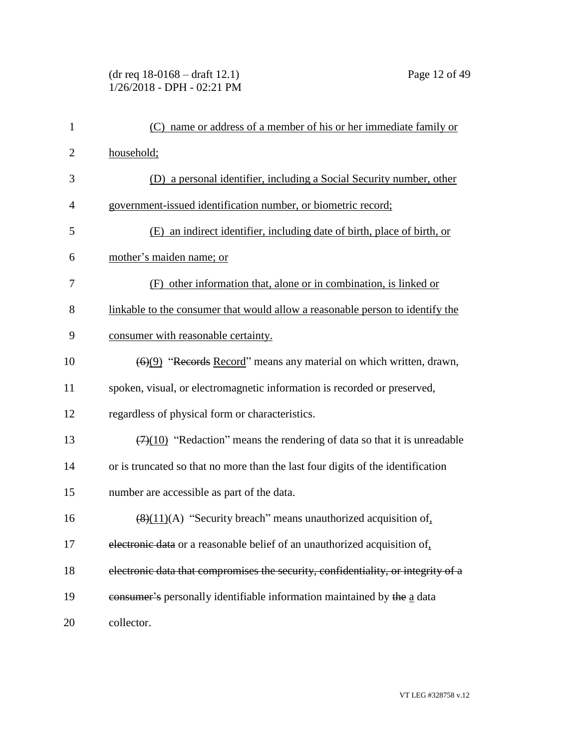#### (dr req 18-0168 – draft 12.1) Page 12 of 49 1/26/2018 - DPH - 02:21 PM

| $\mathbf{1}$   | name or address of a member of his or her immediate family or<br>(C)                 |
|----------------|--------------------------------------------------------------------------------------|
| $\overline{2}$ | household;                                                                           |
| 3              | a personal identifier, including a Social Security number, other<br>(D)              |
| $\overline{4}$ | government-issued identification number, or biometric record;                        |
| 5              | (E) an indirect identifier, including date of birth, place of birth, or              |
| 6              | mother's maiden name; or                                                             |
| 7              | (F) other information that, alone or in combination, is linked or                    |
| 8              | linkable to the consumer that would allow a reasonable person to identify the        |
| 9              | consumer with reasonable certainty.                                                  |
| 10             | $(6)(9)$ "Records Record" means any material on which written, drawn,                |
| 11             | spoken, visual, or electromagnetic information is recorded or preserved,             |
| 12             | regardless of physical form or characteristics.                                      |
| 13             | $(7)(10)$ "Redaction" means the rendering of data so that it is unreadable           |
| 14             | or is truncated so that no more than the last four digits of the identification      |
| 15             | number are accessible as part of the data.                                           |
| 16             | $\left(\frac{8}{11}\right)$ (A) "Security breach" means unauthorized acquisition of, |
| 17             | electronic data or a reasonable belief of an unauthorized acquisition of.            |
| 18             | electronic data that compromises the security, confidentiality, or integrity of a    |
| 19             | consumer's personally identifiable information maintained by the a data              |
| 20             | collector.                                                                           |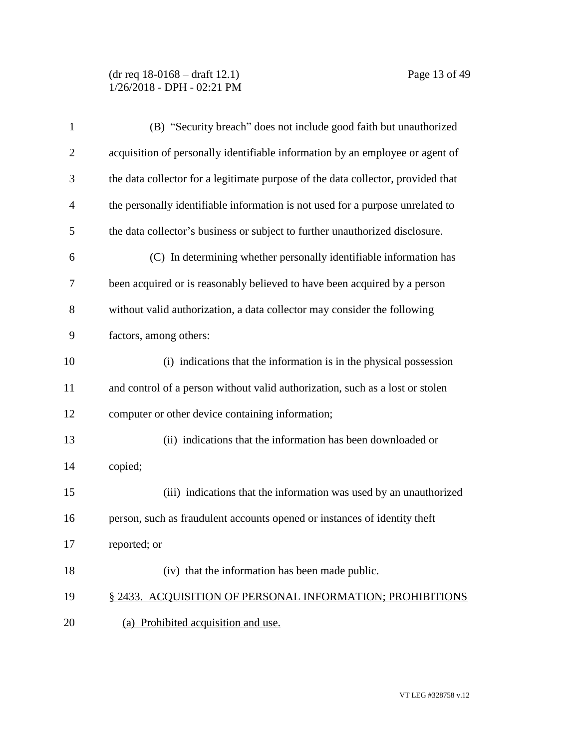(dr req 18-0168 – draft 12.1) Page 13 of 49 1/26/2018 - DPH - 02:21 PM

| 1              | (B) "Security breach" does not include good faith but unauthorized               |
|----------------|----------------------------------------------------------------------------------|
| $\overline{2}$ | acquisition of personally identifiable information by an employee or agent of    |
| 3              | the data collector for a legitimate purpose of the data collector, provided that |
| $\overline{4}$ | the personally identifiable information is not used for a purpose unrelated to   |
| 5              | the data collector's business or subject to further unauthorized disclosure.     |
| 6              | (C) In determining whether personally identifiable information has               |
| 7              | been acquired or is reasonably believed to have been acquired by a person        |
| 8              | without valid authorization, a data collector may consider the following         |
| 9              | factors, among others:                                                           |
| 10             | (i) indications that the information is in the physical possession               |
| 11             | and control of a person without valid authorization, such as a lost or stolen    |
| 12             | computer or other device containing information;                                 |
| 13             | (ii) indications that the information has been downloaded or                     |
| 14             | copied;                                                                          |
| 15             | (iii) indications that the information was used by an unauthorized               |
| 16             | person, such as fraudulent accounts opened or instances of identity theft        |
| 17             | reported; or                                                                     |
| 18             | (iv) that the information has been made public.                                  |
| 19             | § 2433. ACQUISITION OF PERSONAL INFORMATION; PROHIBITIONS                        |
| 20             | (a) Prohibited acquisition and use.                                              |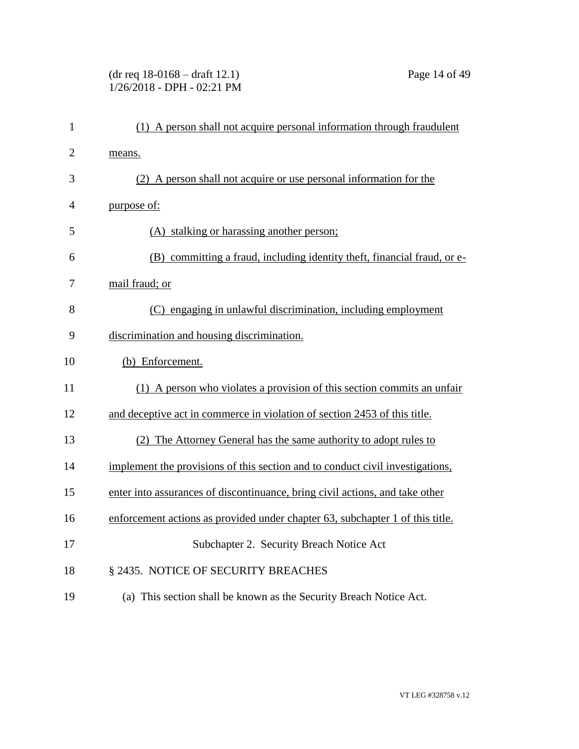# (dr req 18-0168 – draft 12.1) Page 14 of 49 1/26/2018 - DPH - 02:21 PM

| $\mathbf{1}$   | (1) A person shall not acquire personal information through fraudulent        |
|----------------|-------------------------------------------------------------------------------|
| $\overline{2}$ | means.                                                                        |
| 3              | (2) A person shall not acquire or use personal information for the            |
| 4              | purpose of:                                                                   |
| 5              | (A) stalking or harassing another person;                                     |
| 6              | (B) committing a fraud, including identity theft, financial fraud, or e-      |
| 7              | mail fraud; or                                                                |
| 8              | (C) engaging in unlawful discrimination, including employment                 |
| 9              | discrimination and housing discrimination.                                    |
| 10             | (b) Enforcement.                                                              |
| 11             | (1) A person who violates a provision of this section commits an unfair       |
| 12             | and deceptive act in commerce in violation of section 2453 of this title.     |
| 13             | (2) The Attorney General has the same authority to adopt rules to             |
| 14             | implement the provisions of this section and to conduct civil investigations, |
| 15             | enter into assurances of discontinuance, bring civil actions, and take other  |
| 16             | enforcement actions as provided under chapter 63, subchapter 1 of this title. |
| 17             | Subchapter 2. Security Breach Notice Act                                      |
| 18             | § 2435. NOTICE OF SECURITY BREACHES                                           |
| 19             | (a) This section shall be known as the Security Breach Notice Act.            |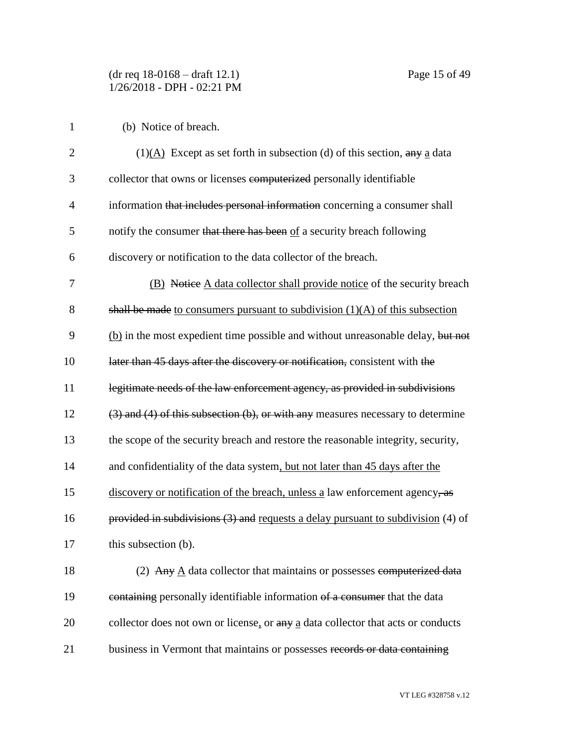(b) Notice of breach.

| $\overline{2}$ | $(1)(A)$ Except as set forth in subsection (d) of this section, any a data             |
|----------------|----------------------------------------------------------------------------------------|
| 3              | collector that owns or licenses computerized personally identifiable                   |
| $\overline{4}$ | information that includes personal information concerning a consumer shall             |
| 5              | notify the consumer that there has been of a security breach following                 |
| 6              | discovery or notification to the data collector of the breach.                         |
| 7              | (B) Notice A data collector shall provide notice of the security breach                |
| 8              | shall be made to consumers pursuant to subdivision $(1)(A)$ of this subsection         |
| 9              | (b) in the most expedient time possible and without unreasonable delay, but not        |
| 10             | later than 45 days after the discovery or notification, consistent with the            |
| 11             | legitimate needs of the law enforcement agency, as provided in subdivisions            |
| 12             | $(3)$ and $(4)$ of this subsection $(b)$ , or with any measures necessary to determine |
| 13             | the scope of the security breach and restore the reasonable integrity, security,       |
| 14             | and confidentiality of the data system, but not later than 45 days after the           |
| 15             | discovery or notification of the breach, unless a law enforcement agency, as           |
| 16             | provided in subdivisions $(3)$ and requests a delay pursuant to subdivision $(4)$ of   |
| 17             | this subsection (b).                                                                   |
| 18             | (2) Any $\underline{A}$ data collector that maintains or possesses computerized data   |
| 19             | containing personally identifiable information of a consumer that the data             |
| 20             | collector does not own or license, or any a data collector that acts or conducts       |
| 21             | business in Vermont that maintains or possesses records or data containing             |

VT LEG #328758 v.12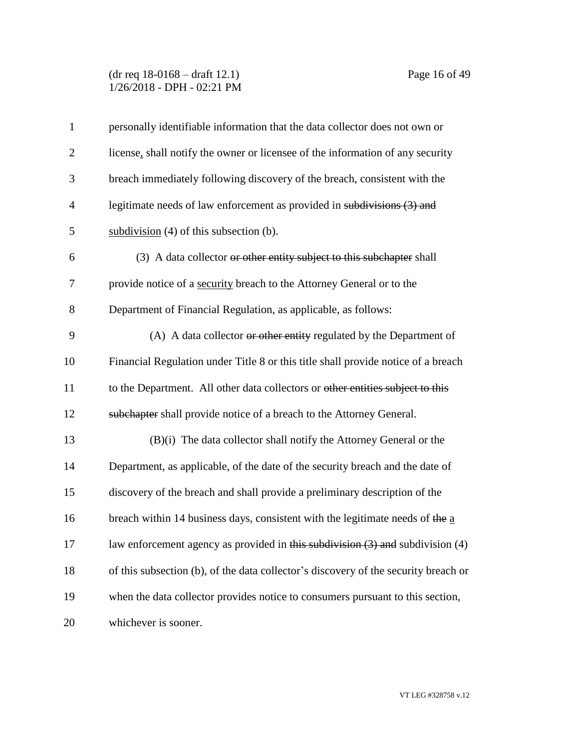(dr req 18-0168 – draft 12.1) Page 16 of 49 1/26/2018 - DPH - 02:21 PM

| $\mathbf{1}$   | personally identifiable information that the data collector does not own or         |
|----------------|-------------------------------------------------------------------------------------|
| $\overline{2}$ | license, shall notify the owner or licensee of the information of any security      |
| 3              | breach immediately following discovery of the breach, consistent with the           |
| $\overline{4}$ | legitimate needs of law enforcement as provided in subdivisions (3) and             |
| 5              | subdivision $(4)$ of this subsection $(b)$ .                                        |
| 6              | (3) A data collector or other entity subject to this subchapter shall               |
| 7              | provide notice of a security breach to the Attorney General or to the               |
| 8              | Department of Financial Regulation, as applicable, as follows:                      |
| 9              | (A) A data collector or other entity regulated by the Department of                 |
| 10             | Financial Regulation under Title 8 or this title shall provide notice of a breach   |
| 11             | to the Department. All other data collectors or other entities subject to this      |
| 12             | subchapter shall provide notice of a breach to the Attorney General.                |
| 13             | (B)(i) The data collector shall notify the Attorney General or the                  |
| 14             | Department, as applicable, of the date of the security breach and the date of       |
| 15             | discovery of the breach and shall provide a preliminary description of the          |
| 16             | breach within 14 business days, consistent with the legitimate needs of the a       |
| 17             | law enforcement agency as provided in this subdivision $(3)$ and subdivision $(4)$  |
| 18             | of this subsection (b), of the data collector's discovery of the security breach or |
| 19             | when the data collector provides notice to consumers pursuant to this section,      |
| 20             | whichever is sooner.                                                                |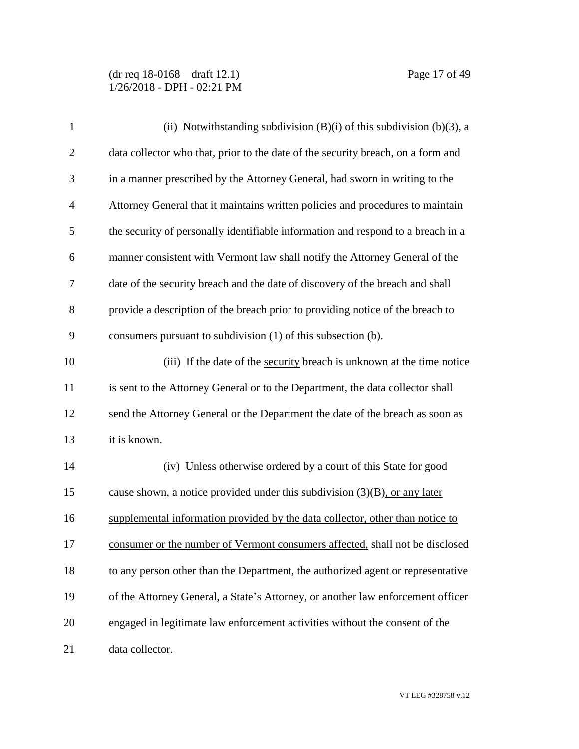(dr req 18-0168 – draft 12.1) Page 17 of 49 1/26/2018 - DPH - 02:21 PM

| $\mathbf{1}$   | (ii) Notwithstanding subdivision $(B)(i)$ of this subdivision $(b)(3)$ , a       |
|----------------|----------------------------------------------------------------------------------|
| $\overline{2}$ | data collector who that, prior to the date of the security breach, on a form and |
| 3              | in a manner prescribed by the Attorney General, had sworn in writing to the      |
| $\overline{4}$ | Attorney General that it maintains written policies and procedures to maintain   |
| 5              | the security of personally identifiable information and respond to a breach in a |
| 6              | manner consistent with Vermont law shall notify the Attorney General of the      |
| 7              | date of the security breach and the date of discovery of the breach and shall    |
| 8              | provide a description of the breach prior to providing notice of the breach to   |
| 9              | consumers pursuant to subdivision (1) of this subsection (b).                    |
| 10             | (iii) If the date of the security breach is unknown at the time notice           |
| 11             | is sent to the Attorney General or to the Department, the data collector shall   |
| 12             | send the Attorney General or the Department the date of the breach as soon as    |
| 13             | it is known.                                                                     |
| 14             | (iv) Unless otherwise ordered by a court of this State for good                  |
| 15             | cause shown, a notice provided under this subdivision $(3)(B)$ , or any later    |
| 16             | supplemental information provided by the data collector, other than notice to    |
| 17             | consumer or the number of Vermont consumers affected, shall not be disclosed     |
| 18             | to any person other than the Department, the authorized agent or representative  |
| 19             | of the Attorney General, a State's Attorney, or another law enforcement officer  |
| 20             | engaged in legitimate law enforcement activities without the consent of the      |
| 21             | data collector.                                                                  |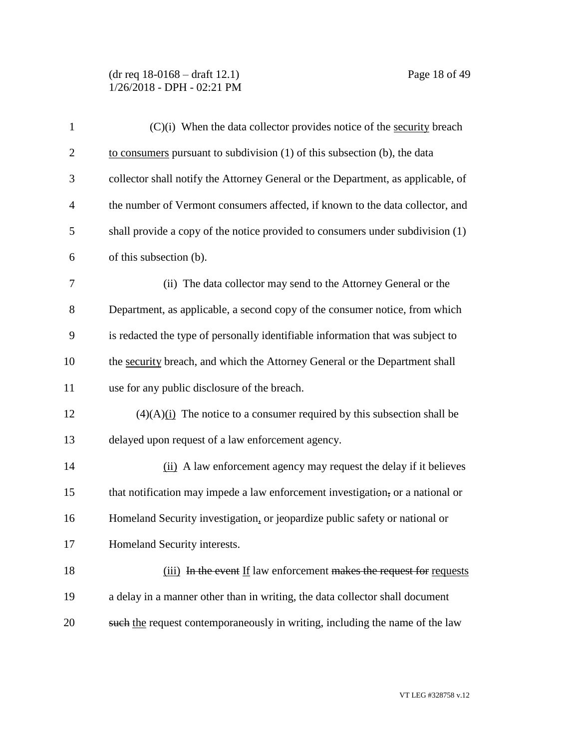(dr req 18-0168 – draft 12.1) Page 18 of 49 1/26/2018 - DPH - 02:21 PM

| $\mathbf{1}$   | $(C)(i)$ When the data collector provides notice of the security breach          |
|----------------|----------------------------------------------------------------------------------|
| $\overline{2}$ | to consumers pursuant to subdivision $(1)$ of this subsection $(b)$ , the data   |
| 3              | collector shall notify the Attorney General or the Department, as applicable, of |
| $\overline{4}$ | the number of Vermont consumers affected, if known to the data collector, and    |
| 5              | shall provide a copy of the notice provided to consumers under subdivision (1)   |
| 6              | of this subsection (b).                                                          |
| 7              | (ii) The data collector may send to the Attorney General or the                  |
| 8              | Department, as applicable, a second copy of the consumer notice, from which      |
| 9              | is redacted the type of personally identifiable information that was subject to  |
| 10             | the security breach, and which the Attorney General or the Department shall      |
| 11             | use for any public disclosure of the breach.                                     |
| 12             | $(4)(A)$ (i) The notice to a consumer required by this subsection shall be       |
| 13             | delayed upon request of a law enforcement agency.                                |
| 14             | (ii) A law enforcement agency may request the delay if it believes               |
| 15             | that notification may impede a law enforcement investigation, or a national or   |
| 16             | Homeland Security investigation, or jeopardize public safety or national or      |
| 17             | Homeland Security interests.                                                     |
| 18             | (iii) In the event If law enforcement makes the request for requests             |
| 19             | a delay in a manner other than in writing, the data collector shall document     |
| 20             | such the request contemporaneously in writing, including the name of the law     |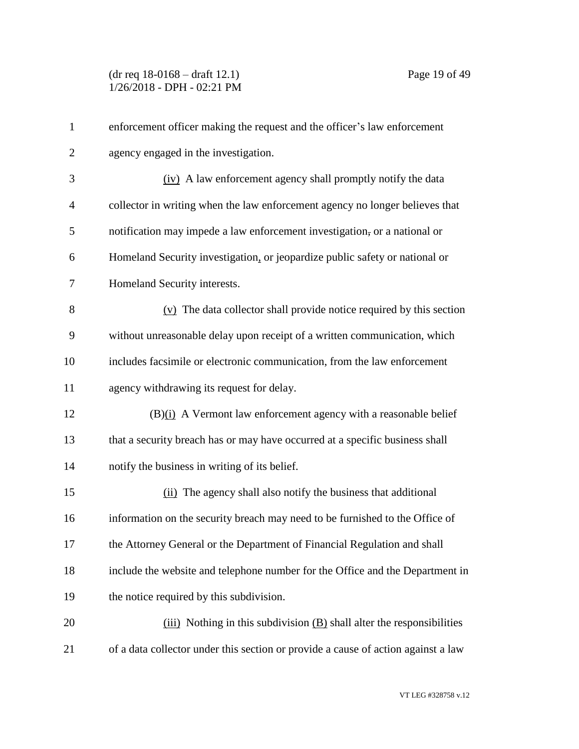| $\mathbf{1}$   | enforcement officer making the request and the officer's law enforcement          |
|----------------|-----------------------------------------------------------------------------------|
| $\overline{2}$ | agency engaged in the investigation.                                              |
| 3              | (iv) A law enforcement agency shall promptly notify the data                      |
| 4              | collector in writing when the law enforcement agency no longer believes that      |
| 5              | notification may impede a law enforcement investigation, or a national or         |
| 6              | Homeland Security investigation, or jeopardize public safety or national or       |
| 7              | Homeland Security interests.                                                      |
| 8              | $(v)$ The data collector shall provide notice required by this section            |
| 9              | without unreasonable delay upon receipt of a written communication, which         |
| 10             | includes facsimile or electronic communication, from the law enforcement          |
| 11             | agency withdrawing its request for delay.                                         |
| 12             | $(B)(i)$ A Vermont law enforcement agency with a reasonable belief                |
| 13             | that a security breach has or may have occurred at a specific business shall      |
| 14             | notify the business in writing of its belief.                                     |
| 15             | (ii) The agency shall also notify the business that additional                    |
| 16             | information on the security breach may need to be furnished to the Office of      |
| 17             | the Attorney General or the Department of Financial Regulation and shall          |
| 18             | include the website and telephone number for the Office and the Department in     |
| 19             | the notice required by this subdivision.                                          |
| 20             | $(iii)$ Nothing in this subdivision $(B)$ shall alter the responsibilities        |
| 21             | of a data collector under this section or provide a cause of action against a law |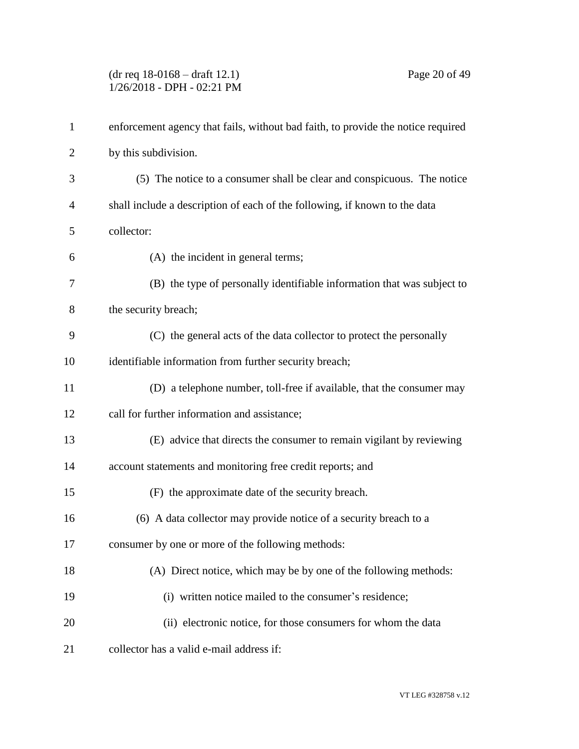(dr req 18-0168 – draft 12.1) Page 20 of 49 1/26/2018 - DPH - 02:21 PM

| $\mathbf{1}$   | enforcement agency that fails, without bad faith, to provide the notice required |
|----------------|----------------------------------------------------------------------------------|
| $\overline{2}$ | by this subdivision.                                                             |
| 3              | (5) The notice to a consumer shall be clear and conspicuous. The notice          |
| 4              | shall include a description of each of the following, if known to the data       |
| 5              | collector:                                                                       |
| 6              | (A) the incident in general terms;                                               |
| 7              | (B) the type of personally identifiable information that was subject to          |
| 8              | the security breach;                                                             |
| 9              | (C) the general acts of the data collector to protect the personally             |
| 10             | identifiable information from further security breach;                           |
| 11             | (D) a telephone number, toll-free if available, that the consumer may            |
| 12             | call for further information and assistance;                                     |
| 13             | (E) advice that directs the consumer to remain vigilant by reviewing             |
| 14             | account statements and monitoring free credit reports; and                       |
| 15             | (F) the approximate date of the security breach.                                 |
| 16             | (6) A data collector may provide notice of a security breach to a                |
| 17             | consumer by one or more of the following methods:                                |
| 18             | (A) Direct notice, which may be by one of the following methods:                 |
| 19             | (i) written notice mailed to the consumer's residence;                           |
| 20             | (ii) electronic notice, for those consumers for whom the data                    |
| 21             | collector has a valid e-mail address if:                                         |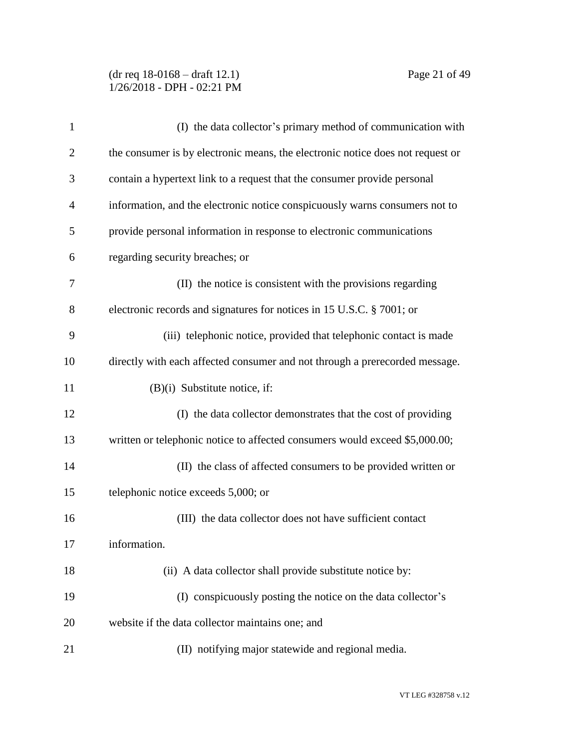### (dr req 18-0168 – draft 12.1) Page 21 of 49 1/26/2018 - DPH - 02:21 PM

| $\mathbf{1}$   | (I) the data collector's primary method of communication with                  |
|----------------|--------------------------------------------------------------------------------|
| $\overline{2}$ | the consumer is by electronic means, the electronic notice does not request or |
| 3              | contain a hypertext link to a request that the consumer provide personal       |
| 4              | information, and the electronic notice conspicuously warns consumers not to    |
| 5              | provide personal information in response to electronic communications          |
| 6              | regarding security breaches; or                                                |
| 7              | (II) the notice is consistent with the provisions regarding                    |
| 8              | electronic records and signatures for notices in 15 U.S.C. § 7001; or          |
| 9              | (iii) telephonic notice, provided that telephonic contact is made              |
| 10             | directly with each affected consumer and not through a prerecorded message.    |
| 11             | (B)(i) Substitute notice, if:                                                  |
| 12             | (I) the data collector demonstrates that the cost of providing                 |
| 13             | written or telephonic notice to affected consumers would exceed \$5,000.00;    |
| 14             | (II) the class of affected consumers to be provided written or                 |
| 15             | telephonic notice exceeds 5,000; or                                            |
| 16             | (III) the data collector does not have sufficient contact                      |
| 17             | information.                                                                   |
| 18             | (ii) A data collector shall provide substitute notice by:                      |
| 19             | (I) conspicuously posting the notice on the data collector's                   |
| 20             | website if the data collector maintains one; and                               |
| 21             | (II) notifying major statewide and regional media.                             |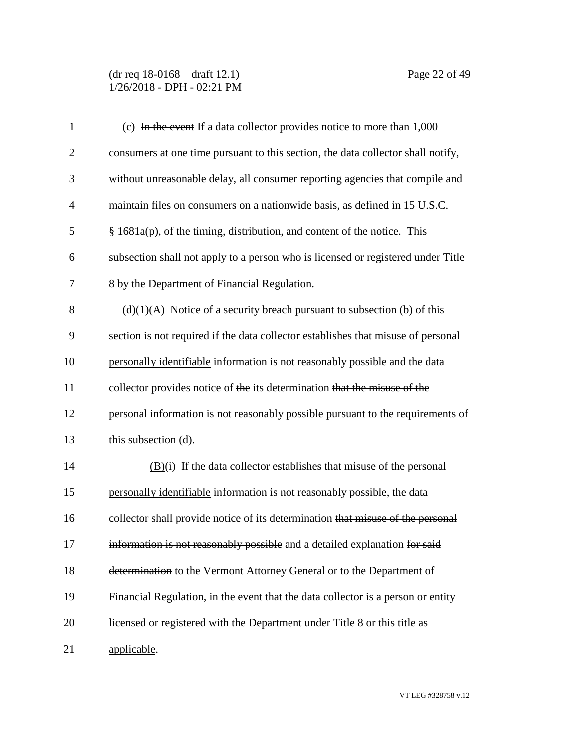(dr req 18-0168 – draft 12.1) Page 22 of 49 1/26/2018 - DPH - 02:21 PM

| $\mathbf{1}$   | (c) In the event If a data collector provides notice to more than $1,000$           |
|----------------|-------------------------------------------------------------------------------------|
| $\overline{2}$ | consumers at one time pursuant to this section, the data collector shall notify,    |
| 3              | without unreasonable delay, all consumer reporting agencies that compile and        |
| $\overline{4}$ | maintain files on consumers on a nationwide basis, as defined in 15 U.S.C.          |
| 5              | $§$ 1681a(p), of the timing, distribution, and content of the notice. This          |
| 6              | subsection shall not apply to a person who is licensed or registered under Title    |
| 7              | 8 by the Department of Financial Regulation.                                        |
| 8              | $(d)(1)(A)$ Notice of a security breach pursuant to subsection (b) of this          |
| 9              | section is not required if the data collector establishes that misuse of personal   |
| 10             | personally identifiable information is not reasonably possible and the data         |
| 11             | collector provides notice of the its determination that the misuse of the           |
| 12             | personal information is not reasonably possible pursuant to the requirements of     |
| 13             | this subsection (d).                                                                |
| 14             | $\underline{(B)}$ (i) If the data collector establishes that misuse of the personal |
| 15             | personally identifiable information is not reasonably possible, the data            |
| 16             | collector shall provide notice of its determination that misuse of the personal     |
| 17             | information is not reasonably possible and a detailed explanation for said          |
| 18             | determination to the Vermont Attorney General or to the Department of               |
| 19             | Financial Regulation, in the event that the data collector is a person or entity    |
| 20             | licensed or registered with the Department under Title 8 or this title as           |
| 21             | applicable.                                                                         |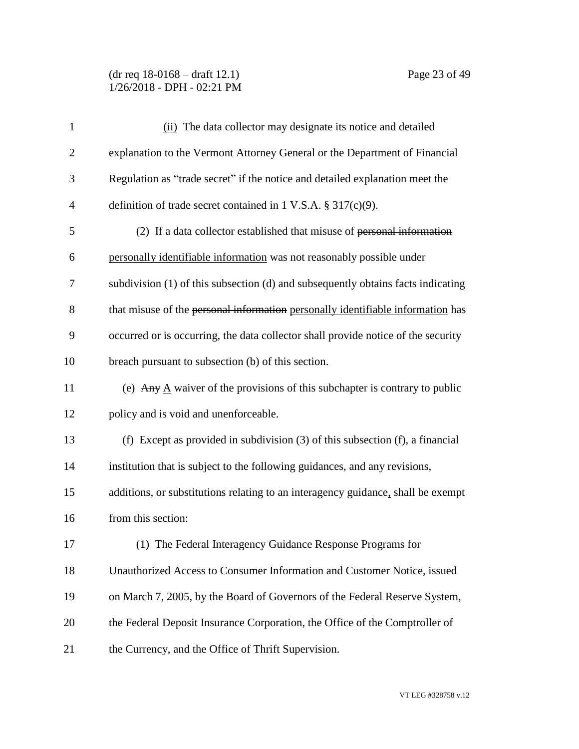(dr req 18-0168 – draft 12.1) Page 23 of 49 1/26/2018 - DPH - 02:21 PM

| $\mathbf{1}$   | (ii) The data collector may designate its notice and detailed                             |
|----------------|-------------------------------------------------------------------------------------------|
| $\overline{c}$ | explanation to the Vermont Attorney General or the Department of Financial                |
| 3              | Regulation as "trade secret" if the notice and detailed explanation meet the              |
| 4              | definition of trade secret contained in 1 V.S.A. $\S 317(c)(9)$ .                         |
| 5              | (2) If a data collector established that misuse of personal information                   |
| 6              | personally identifiable information was not reasonably possible under                     |
| 7              | subdivision (1) of this subsection (d) and subsequently obtains facts indicating          |
| 8              | that misuse of the personal information personally identifiable information has           |
| 9              | occurred or is occurring, the data collector shall provide notice of the security         |
| 10             | breach pursuant to subsection (b) of this section.                                        |
| 11             | (e) Any $\underline{A}$ waiver of the provisions of this subchapter is contrary to public |
| 12             | policy and is void and unenforceable.                                                     |
| 13             | (f) Except as provided in subdivision $(3)$ of this subsection $(f)$ , a financial        |
| 14             | institution that is subject to the following guidances, and any revisions,                |
| 15             | additions, or substitutions relating to an interagency guidance, shall be exempt          |
| 16             | from this section:                                                                        |
| 17             | (1) The Federal Interagency Guidance Response Programs for                                |
| 18             | Unauthorized Access to Consumer Information and Customer Notice, issued                   |
| 19             | on March 7, 2005, by the Board of Governors of the Federal Reserve System,                |
| 20             | the Federal Deposit Insurance Corporation, the Office of the Comptroller of               |
| 21             | the Currency, and the Office of Thrift Supervision.                                       |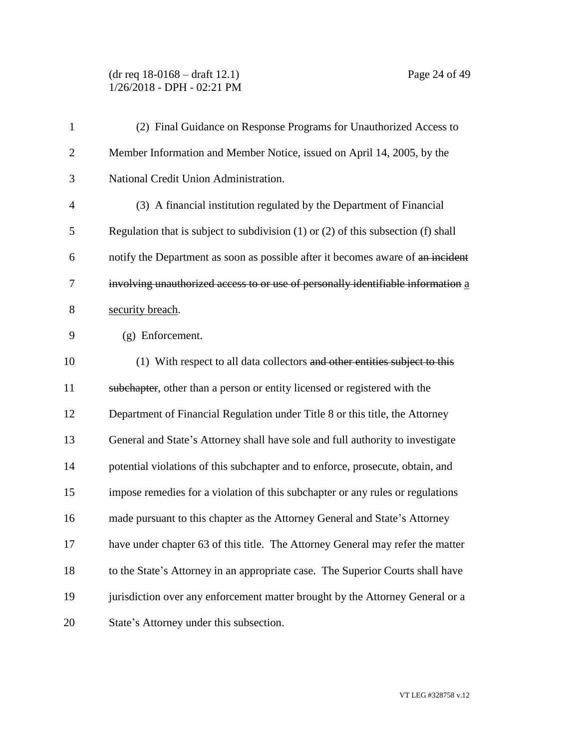(dr req 18-0168 – draft 12.1) Page 24 of 49 1/26/2018 - DPH - 02:21 PM

| $\mathbf{1}$   | (2) Final Guidance on Response Programs for Unauthorized Access to                      |
|----------------|-----------------------------------------------------------------------------------------|
| $\overline{2}$ | Member Information and Member Notice, issued on April 14, 2005, by the                  |
| 3              | National Credit Union Administration.                                                   |
| $\overline{4}$ | (3) A financial institution regulated by the Department of Financial                    |
| 5              | Regulation that is subject to subdivision $(1)$ or $(2)$ of this subsection $(f)$ shall |
| 6              | notify the Department as soon as possible after it becomes aware of an incident         |
| 7              | involving unauthorized access to or use of personally identifiable information a        |
| 8              | security breach.                                                                        |
| 9              | (g) Enforcement.                                                                        |
| 10             | (1) With respect to all data collectors and other entities subject to this              |
| 11             | subchapter, other than a person or entity licensed or registered with the               |
| 12             | Department of Financial Regulation under Title 8 or this title, the Attorney            |
| 13             | General and State's Attorney shall have sole and full authority to investigate          |
| 14             | potential violations of this subchapter and to enforce, prosecute, obtain, and          |
| 15             | impose remedies for a violation of this subchapter or any rules or regulations          |
| 16             | made pursuant to this chapter as the Attorney General and State's Attorney              |
| 17             | have under chapter 63 of this title. The Attorney General may refer the matter          |
| 18             | to the State's Attorney in an appropriate case. The Superior Courts shall have          |
| 19             | jurisdiction over any enforcement matter brought by the Attorney General or a           |
| 20             | State's Attorney under this subsection.                                                 |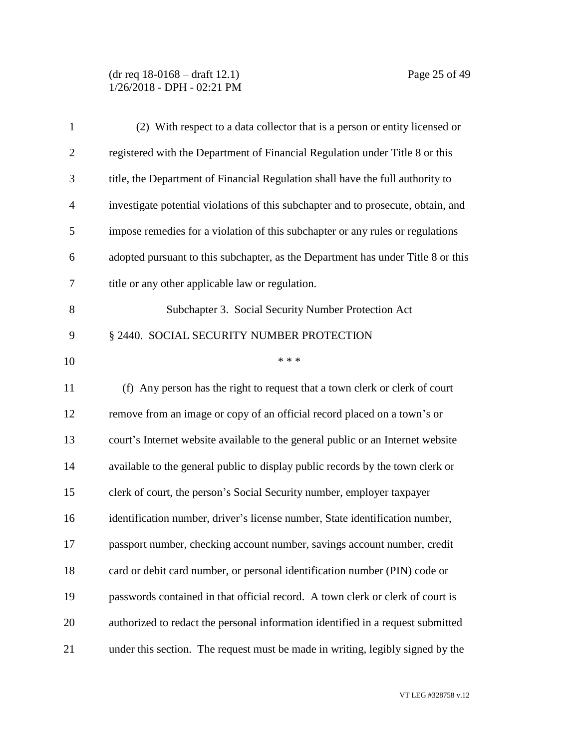(dr req 18-0168 – draft 12.1) Page 25 of 49 1/26/2018 - DPH - 02:21 PM

| $\mathbf{1}$   | (2) With respect to a data collector that is a person or entity licensed or       |
|----------------|-----------------------------------------------------------------------------------|
| $\overline{2}$ | registered with the Department of Financial Regulation under Title 8 or this      |
| 3              | title, the Department of Financial Regulation shall have the full authority to    |
| $\overline{4}$ | investigate potential violations of this subchapter and to prosecute, obtain, and |
| 5              | impose remedies for a violation of this subchapter or any rules or regulations    |
| 6              | adopted pursuant to this subchapter, as the Department has under Title 8 or this  |
| $\tau$         | title or any other applicable law or regulation.                                  |
| 8              | Subchapter 3. Social Security Number Protection Act                               |
| 9              | § 2440. SOCIAL SECURITY NUMBER PROTECTION                                         |
| 10             | * * *                                                                             |
| 11             | (f) Any person has the right to request that a town clerk or clerk of court       |
| 12             | remove from an image or copy of an official record placed on a town's or          |
| 13             | court's Internet website available to the general public or an Internet website   |
| 14             | available to the general public to display public records by the town clerk or    |
| 15             | clerk of court, the person's Social Security number, employer taxpayer            |
| 16             | identification number, driver's license number, State identification number,      |
| 17             | passport number, checking account number, savings account number, credit          |
| 18             | card or debit card number, or personal identification number (PIN) code or        |
| 19             | passwords contained in that official record. A town clerk or clerk of court is    |
| 20             | authorized to redact the personal information identified in a request submitted   |
| 21             | under this section. The request must be made in writing, legibly signed by the    |

VT LEG #328758 v.12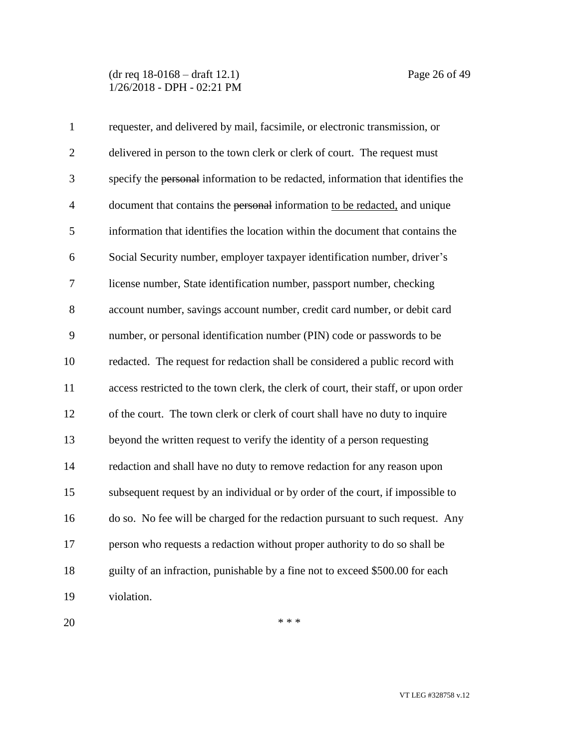(dr req 18-0168 – draft 12.1) Page 26 of 49 1/26/2018 - DPH - 02:21 PM

| $\mathbf{1}$   | requester, and delivered by mail, facsimile, or electronic transmission, or         |
|----------------|-------------------------------------------------------------------------------------|
| $\overline{2}$ | delivered in person to the town clerk or clerk of court. The request must           |
| 3              | specify the personal information to be redacted, information that identifies the    |
| $\overline{4}$ | document that contains the personal information to be redacted, and unique          |
| 5              | information that identifies the location within the document that contains the      |
| 6              | Social Security number, employer taxpayer identification number, driver's           |
| 7              | license number, State identification number, passport number, checking              |
| 8              | account number, savings account number, credit card number, or debit card           |
| 9              | number, or personal identification number (PIN) code or passwords to be             |
| 10             | redacted. The request for redaction shall be considered a public record with        |
| 11             | access restricted to the town clerk, the clerk of court, their staff, or upon order |
| 12             | of the court. The town clerk or clerk of court shall have no duty to inquire        |
| 13             | beyond the written request to verify the identity of a person requesting            |
| 14             | redaction and shall have no duty to remove redaction for any reason upon            |
| 15             | subsequent request by an individual or by order of the court, if impossible to      |
| 16             | do so. No fee will be charged for the redaction pursuant to such request. Any       |
| 17             | person who requests a redaction without proper authority to do so shall be          |
| 18             | guilty of an infraction, punishable by a fine not to exceed \$500.00 for each       |
| 19             | violation.                                                                          |

 $***$ 

VT LEG #328758 v.12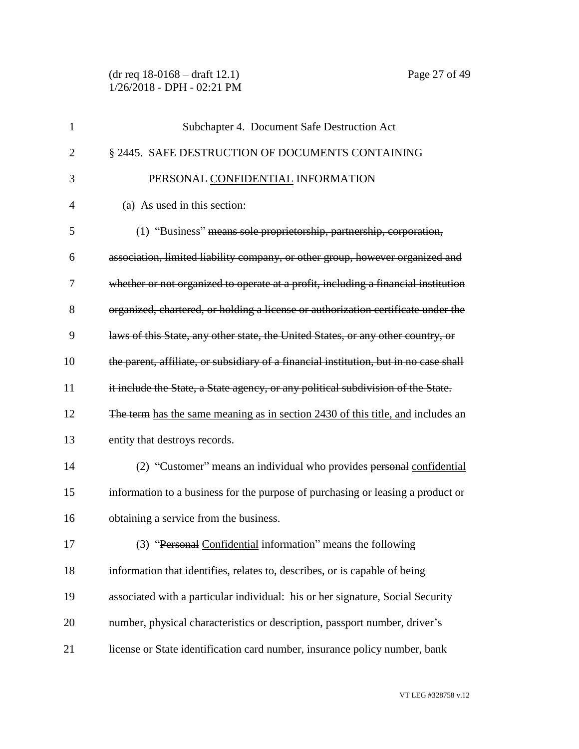(dr req 18-0168 – draft 12.1) Page 27 of 49 1/26/2018 - DPH - 02:21 PM

| $\mathbf{1}$   | Subchapter 4. Document Safe Destruction Act                                           |
|----------------|---------------------------------------------------------------------------------------|
| $\overline{2}$ | § 2445. SAFE DESTRUCTION OF DOCUMENTS CONTAINING                                      |
| 3              | PERSONAL CONFIDENTIAL INFORMATION                                                     |
| 4              | (a) As used in this section:                                                          |
| 5              | (1) "Business" means sole proprietorship, partnership, corporation,                   |
| 6              | association, limited liability company, or other group, however organized and         |
| 7              | whether or not organized to operate at a profit, including a financial institution    |
| 8              | organized, chartered, or holding a license or authorization certificate under the     |
| 9              | laws of this State, any other state, the United States, or any other country, or      |
| 10             | the parent, affiliate, or subsidiary of a financial institution, but in no case shall |
| 11             | it include the State, a State agency, or any political subdivision of the State.      |
| 12             | The term has the same meaning as in section 2430 of this title, and includes an       |
| 13             | entity that destroys records.                                                         |
| 14             | (2) "Customer" means an individual who provides personal confidential                 |
| 15             | information to a business for the purpose of purchasing or leasing a product or       |
| 16             | obtaining a service from the business.                                                |
| 17             | (3) "Personal Confidential information" means the following                           |
| 18             | information that identifies, relates to, describes, or is capable of being            |
| 19             | associated with a particular individual: his or her signature, Social Security        |
| 20             | number, physical characteristics or description, passport number, driver's            |
| 21             | license or State identification card number, insurance policy number, bank            |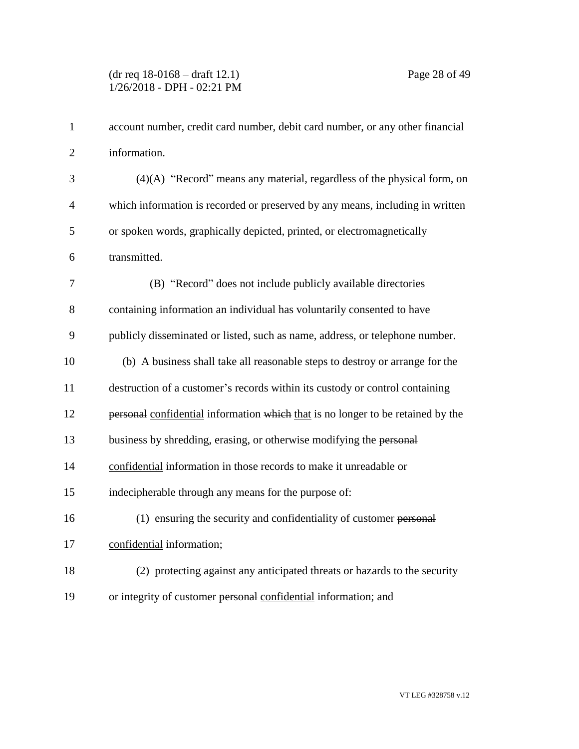| $\mathbf{1}$   | account number, credit card number, debit card number, or any other financial   |
|----------------|---------------------------------------------------------------------------------|
| $\overline{2}$ | information.                                                                    |
| 3              | $(4)(A)$ "Record" means any material, regardless of the physical form, on       |
| $\overline{4}$ | which information is recorded or preserved by any means, including in written   |
| 5              | or spoken words, graphically depicted, printed, or electromagnetically          |
| 6              | transmitted.                                                                    |
| 7              | (B) "Record" does not include publicly available directories                    |
| 8              | containing information an individual has voluntarily consented to have          |
| 9              | publicly disseminated or listed, such as name, address, or telephone number.    |
| 10             | (b) A business shall take all reasonable steps to destroy or arrange for the    |
| 11             | destruction of a customer's records within its custody or control containing    |
| 12             | personal confidential information which that is no longer to be retained by the |
| 13             | business by shredding, erasing, or otherwise modifying the personal             |
| 14             | confidential information in those records to make it unreadable or              |
| 15             | indecipherable through any means for the purpose of:                            |
| 16             | (1) ensuring the security and confidentiality of customer personal              |
| 17             | confidential information;                                                       |
| 18             | (2) protecting against any anticipated threats or hazards to the security       |
| 19             | or integrity of customer personal confidential information; and                 |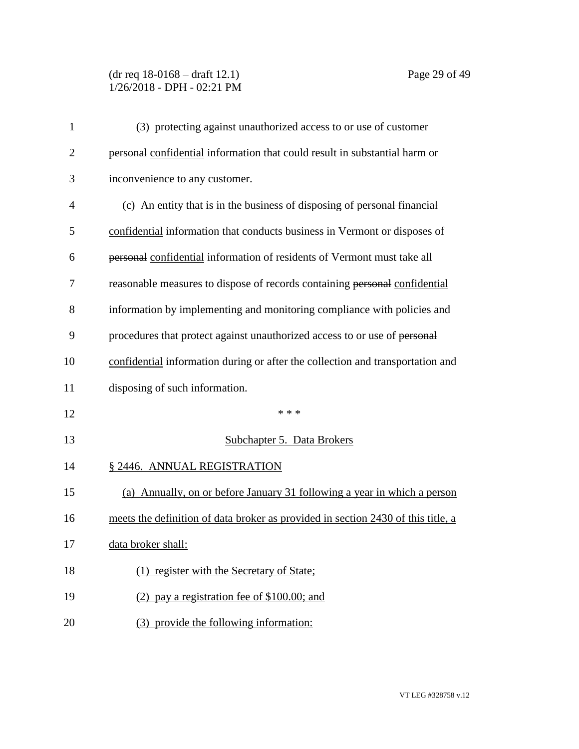# (dr req 18-0168 – draft 12.1) Page 29 of 49 1/26/2018 - DPH - 02:21 PM

| 1              | (3) protecting against unauthorized access to or use of customer                 |
|----------------|----------------------------------------------------------------------------------|
| $\overline{2}$ | personal confidential information that could result in substantial harm or       |
| 3              | inconvenience to any customer.                                                   |
| $\overline{4}$ | (c) An entity that is in the business of disposing of personal financial         |
| 5              | confidential information that conducts business in Vermont or disposes of        |
| 6              | personal confidential information of residents of Vermont must take all          |
| 7              | reasonable measures to dispose of records containing personal confidential       |
| 8              | information by implementing and monitoring compliance with policies and          |
| 9              | procedures that protect against unauthorized access to or use of personal        |
| 10             | confidential information during or after the collection and transportation and   |
| 11             | disposing of such information.                                                   |
| 12             | * * *                                                                            |
| 13             | <b>Subchapter 5. Data Brokers</b>                                                |
| 14             | § 2446. ANNUAL REGISTRATION                                                      |
| 15             | (a) Annually, on or before January 31 following a year in which a person         |
| 16             | meets the definition of data broker as provided in section 2430 of this title, a |
| 17             | data broker shall:                                                               |
| 18             | (1) register with the Secretary of State;                                        |
| 19             | $(2)$ pay a registration fee of \$100.00; and                                    |
| 20             | (3) provide the following information:                                           |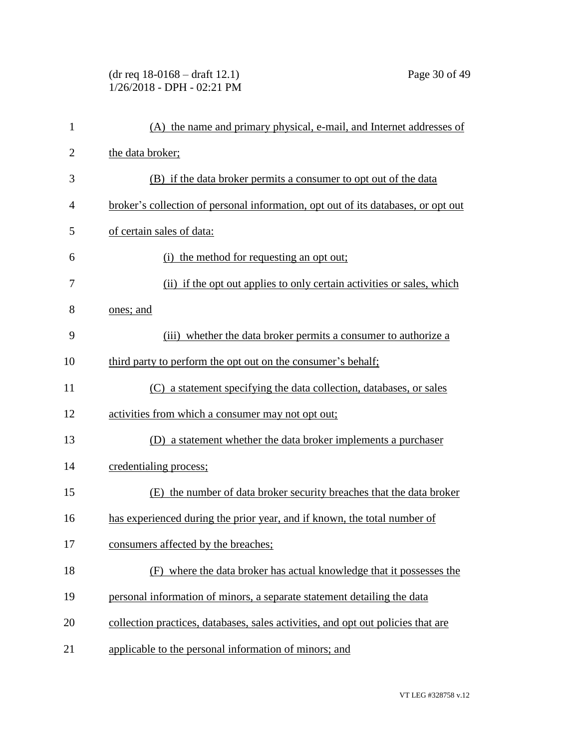(dr req 18-0168 – draft 12.1) Page 30 of 49 1/26/2018 - DPH - 02:21 PM

| $\mathbf{1}$   | (A) the name and primary physical, e-mail, and Internet addresses of              |
|----------------|-----------------------------------------------------------------------------------|
| $\overline{2}$ | the data broker;                                                                  |
| 3              | (B) if the data broker permits a consumer to opt out of the data                  |
| $\overline{4}$ | broker's collection of personal information, opt out of its databases, or opt out |
| 5              | of certain sales of data:                                                         |
| 6              | (i) the method for requesting an opt out;                                         |
| 7              | (ii) if the opt out applies to only certain activities or sales, which            |
| 8              | ones; and                                                                         |
| 9              | (iii) whether the data broker permits a consumer to authorize a                   |
| 10             | third party to perform the opt out on the consumer's behalf;                      |
| 11             | (C) a statement specifying the data collection, databases, or sales               |
| 12             | activities from which a consumer may not opt out;                                 |
| 13             | a statement whether the data broker implements a purchaser<br>(D)                 |
| 14             | credentialing process;                                                            |
| 15             | (E) the number of data broker security breaches that the data broker              |
| 16             | has experienced during the prior year, and if known, the total number of          |
| 17             | consumers affected by the breaches;                                               |
| 18             | where the data broker has actual knowledge that it possesses the<br>(F)           |
| 19             | personal information of minors, a separate statement detailing the data           |
| 20             | collection practices, databases, sales activities, and opt out policies that are  |
| 21             | applicable to the personal information of minors; and                             |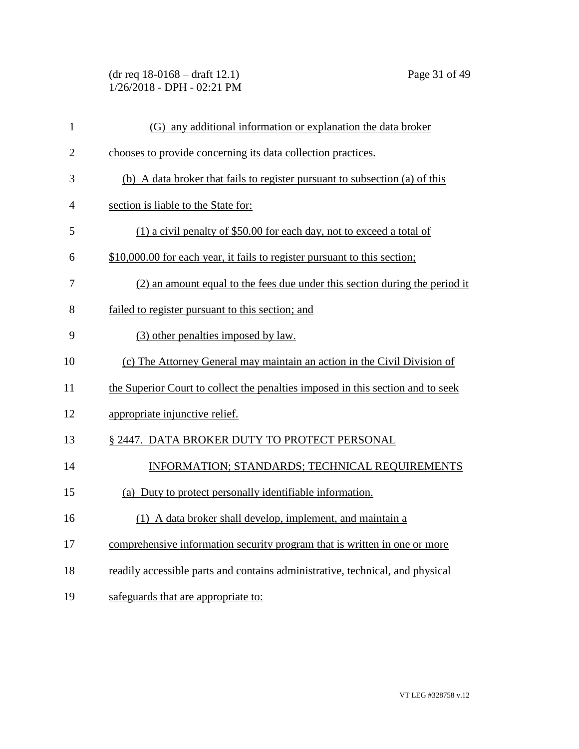(dr req 18-0168 – draft 12.1) Page 31 of 49 1/26/2018 - DPH - 02:21 PM

| $\mathbf{1}$   | (G) any additional information or explanation the data broker                   |
|----------------|---------------------------------------------------------------------------------|
| $\overline{2}$ | chooses to provide concerning its data collection practices.                    |
| 3              | (b) A data broker that fails to register pursuant to subsection (a) of this     |
| 4              | section is liable to the State for:                                             |
| 5              | (1) a civil penalty of \$50.00 for each day, not to exceed a total of           |
| 6              | \$10,000.00 for each year, it fails to register pursuant to this section;       |
| 7              | (2) an amount equal to the fees due under this section during the period it     |
| 8              | failed to register pursuant to this section; and                                |
| 9              | (3) other penalties imposed by law.                                             |
| 10             | (c) The Attorney General may maintain an action in the Civil Division of        |
| 11             | the Superior Court to collect the penalties imposed in this section and to seek |
| 12             | appropriate injunctive relief.                                                  |
| 13             | § 2447. DATA BROKER DUTY TO PROTECT PERSONAL                                    |
| 14             | INFORMATION; STANDARDS; TECHNICAL REQUIREMENTS                                  |
| 15             | (a) Duty to protect personally identifiable information.                        |
| 16             | (1) A data broker shall develop, implement, and maintain a                      |
| 17             | comprehensive information security program that is written in one or more       |
| 18             | readily accessible parts and contains administrative, technical, and physical   |
| 19             | safeguards that are appropriate to:                                             |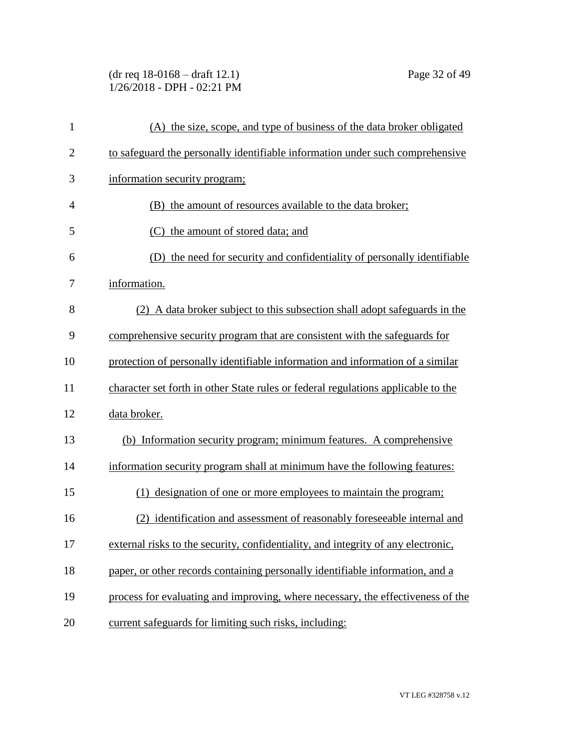(dr req 18-0168 – draft 12.1) Page 32 of 49 1/26/2018 - DPH - 02:21 PM

| $\mathbf{1}$   | (A) the size, scope, and type of business of the data broker obligated            |
|----------------|-----------------------------------------------------------------------------------|
| $\overline{2}$ | to safeguard the personally identifiable information under such comprehensive     |
| 3              | information security program;                                                     |
| $\overline{4}$ | (B) the amount of resources available to the data broker;                         |
| 5              | (C) the amount of stored data; and                                                |
| 6              | the need for security and confidentiality of personally identifiable<br>(D)       |
| 7              | information.                                                                      |
| 8              | (2) A data broker subject to this subsection shall adopt safeguards in the        |
| 9              | comprehensive security program that are consistent with the safeguards for        |
| 10             | protection of personally identifiable information and information of a similar    |
| 11             | character set forth in other State rules or federal regulations applicable to the |
| 12             | data broker.                                                                      |
| 13             | (b) Information security program; minimum features. A comprehensive               |
| 14             | information security program shall at minimum have the following features:        |
| 15             | (1) designation of one or more employees to maintain the program;                 |
| 16             | (2) identification and assessment of reasonably foreseeable internal and          |
| 17             | external risks to the security, confidentiality, and integrity of any electronic, |
| 18             | paper, or other records containing personally identifiable information, and a     |
| 19             | process for evaluating and improving, where necessary, the effectiveness of the   |
| 20             | current safeguards for limiting such risks, including:                            |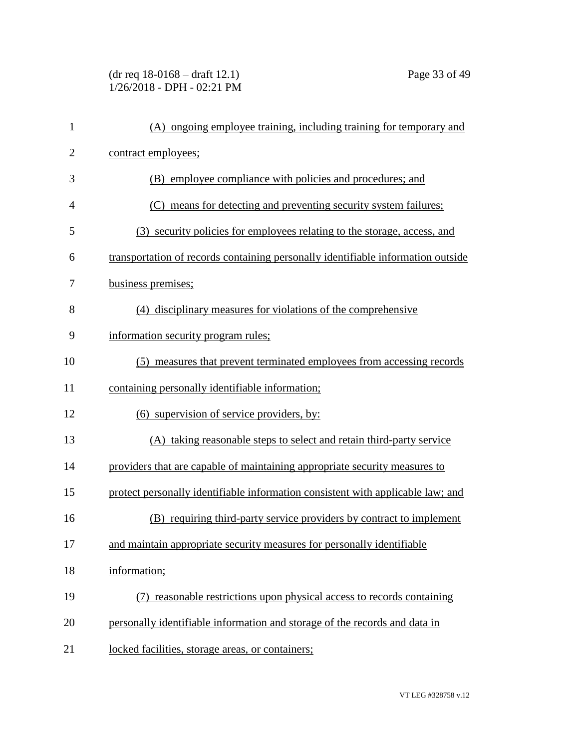(dr req 18-0168 – draft 12.1) Page 33 of 49 1/26/2018 - DPH - 02:21 PM

| $\mathbf{1}$   | (A) ongoing employee training, including training for temporary and              |
|----------------|----------------------------------------------------------------------------------|
| $\overline{2}$ | contract employees;                                                              |
| 3              | (B) employee compliance with policies and procedures; and                        |
| $\overline{4}$ | (C) means for detecting and preventing security system failures;                 |
| 5              | (3) security policies for employees relating to the storage, access, and         |
| 6              | transportation of records containing personally identifiable information outside |
| 7              | business premises;                                                               |
| 8              | (4) disciplinary measures for violations of the comprehensive                    |
| 9              | information security program rules;                                              |
| 10             | (5) measures that prevent terminated employees from accessing records            |
| 11             | containing personally identifiable information;                                  |
| 12             | (6) supervision of service providers, by:                                        |
| 13             | (A) taking reasonable steps to select and retain third-party service             |
| 14             | providers that are capable of maintaining appropriate security measures to       |
| 15             | protect personally identifiable information consistent with applicable law; and  |
| 16             | (B) requiring third-party service providers by contract to implement             |
| 17             | and maintain appropriate security measures for personally identifiable           |
| 18             | information;                                                                     |
| 19             | reasonable restrictions upon physical access to records containing               |
| 20             | personally identifiable information and storage of the records and data in       |
| 21             | locked facilities, storage areas, or containers;                                 |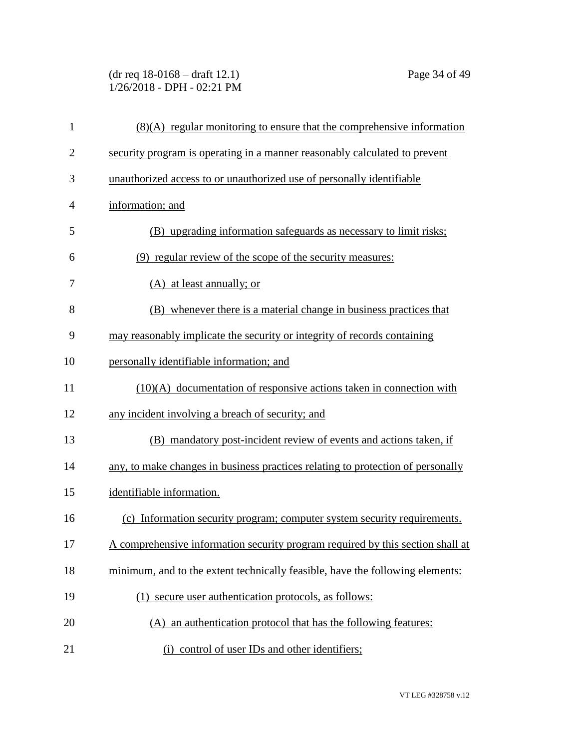(dr req 18-0168 – draft 12.1) Page 34 of 49 1/26/2018 - DPH - 02:21 PM

| $\mathbf{1}$   | $(8)(A)$ regular monitoring to ensure that the comprehensive information        |
|----------------|---------------------------------------------------------------------------------|
| $\overline{2}$ | security program is operating in a manner reasonably calculated to prevent      |
| 3              | unauthorized access to or unauthorized use of personally identifiable           |
| $\overline{4}$ | information; and                                                                |
| 5              | (B) upgrading information safeguards as necessary to limit risks;               |
| 6              | (9) regular review of the scope of the security measures:                       |
| 7              | (A) at least annually; or                                                       |
| 8              | (B) whenever there is a material change in business practices that              |
| 9              | may reasonably implicate the security or integrity of records containing        |
| 10             | personally identifiable information; and                                        |
| 11             | $(10)(A)$ documentation of responsive actions taken in connection with          |
| 12             | any incident involving a breach of security; and                                |
| 13             | (B) mandatory post-incident review of events and actions taken, if              |
| 14             | any, to make changes in business practices relating to protection of personally |
| 15             | identifiable information.                                                       |
| 16             | (c) Information security program; computer system security requirements.        |
| 17             | A comprehensive information security program required by this section shall at  |
| 18             | minimum, and to the extent technically feasible, have the following elements:   |
| 19             | (1) secure user authentication protocols, as follows:                           |
| 20             | (A) an authentication protocol that has the following features:                 |
| 21             | (i) control of user IDs and other identifiers;                                  |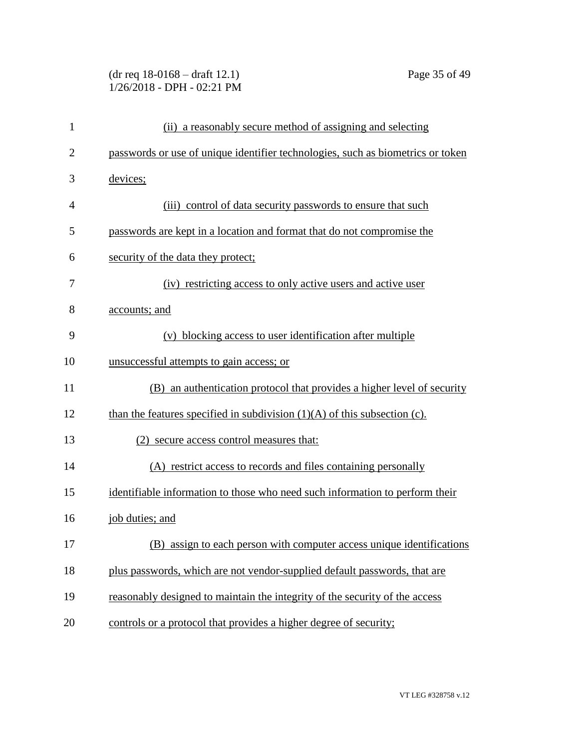# (dr req 18-0168 – draft 12.1) Page 35 of 49 1/26/2018 - DPH - 02:21 PM

| $\mathbf{1}$   | (ii) a reasonably secure method of assigning and selecting                      |
|----------------|---------------------------------------------------------------------------------|
| $\overline{2}$ | passwords or use of unique identifier technologies, such as biometrics or token |
| 3              | devices;                                                                        |
| 4              | (iii) control of data security passwords to ensure that such                    |
| 5              | passwords are kept in a location and format that do not compromise the          |
| 6              | security of the data they protect;                                              |
| 7              | (iv) restricting access to only active users and active user                    |
| 8              | accounts; and                                                                   |
| 9              | (v) blocking access to user identification after multiple                       |
| 10             | unsuccessful attempts to gain access; or                                        |
| 11             | (B) an authentication protocol that provides a higher level of security         |
| 12             | than the features specified in subdivision $(1)(A)$ of this subsection (c).     |
| 13             | (2) secure access control measures that:                                        |
| 14             | (A) restrict access to records and files containing personally                  |
| 15             | identifiable information to those who need such information to perform their    |
| 16             | job duties; and                                                                 |
| 17             | (B)<br>assign to each person with computer access unique identifications        |
| 18             | plus passwords, which are not vendor-supplied default passwords, that are       |
| 19             | reasonably designed to maintain the integrity of the security of the access     |
| 20             | controls or a protocol that provides a higher degree of security;               |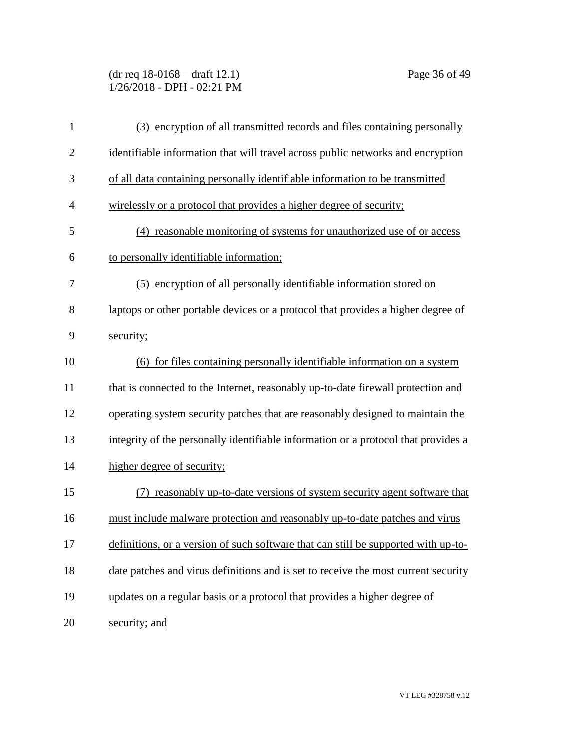(dr req 18-0168 – draft 12.1) Page 36 of 49 1/26/2018 - DPH - 02:21 PM

| $\mathbf{1}$   | (3) encryption of all transmitted records and files containing personally          |
|----------------|------------------------------------------------------------------------------------|
| $\overline{2}$ | identifiable information that will travel across public networks and encryption    |
| 3              | of all data containing personally identifiable information to be transmitted       |
| $\overline{4}$ | wirelessly or a protocol that provides a higher degree of security;                |
| 5              | (4) reasonable monitoring of systems for unauthorized use of or access             |
| 6              | to personally identifiable information;                                            |
| 7              | (5) encryption of all personally identifiable information stored on                |
| 8              | laptops or other portable devices or a protocol that provides a higher degree of   |
| 9              | security;                                                                          |
| 10             | (6) for files containing personally identifiable information on a system           |
| 11             | that is connected to the Internet, reasonably up-to-date firewall protection and   |
| 12             | operating system security patches that are reasonably designed to maintain the     |
| 13             | integrity of the personally identifiable information or a protocol that provides a |
| 14             | higher degree of security;                                                         |
| 15             | (7) reasonably up-to-date versions of system security agent software that          |
| 16             | must include malware protection and reasonably up-to-date patches and virus        |
| 17             | definitions, or a version of such software that can still be supported with up-to- |
| 18             | date patches and virus definitions and is set to receive the most current security |
| 19             | updates on a regular basis or a protocol that provides a higher degree of          |
| 20             | security; and                                                                      |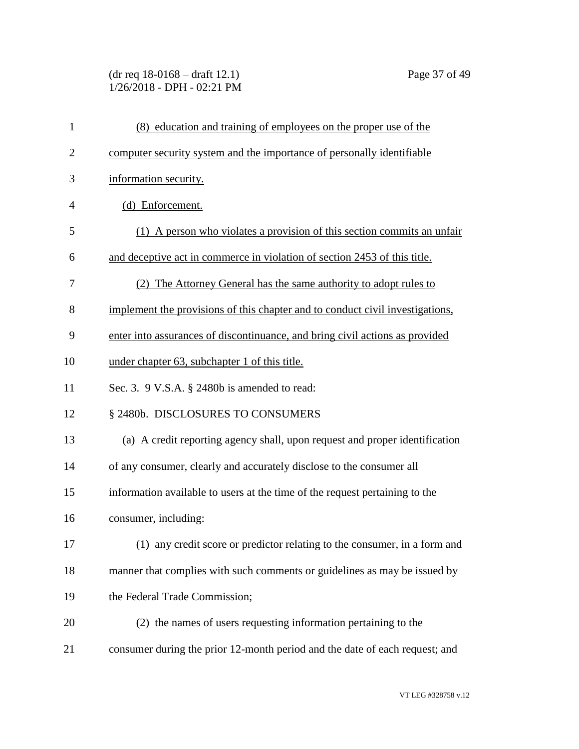# (dr req 18-0168 – draft 12.1) Page 37 of 49 1/26/2018 - DPH - 02:21 PM

| $\mathbf{1}$   | (8) education and training of employees on the proper use of the              |
|----------------|-------------------------------------------------------------------------------|
| $\overline{2}$ | computer security system and the importance of personally identifiable        |
| 3              | information security.                                                         |
| $\overline{4}$ | (d) Enforcement.                                                              |
| 5              | (1) A person who violates a provision of this section commits an unfair       |
| 6              | and deceptive act in commerce in violation of section 2453 of this title.     |
| 7              | (2) The Attorney General has the same authority to adopt rules to             |
| 8              | implement the provisions of this chapter and to conduct civil investigations, |
| 9              | enter into assurances of discontinuance, and bring civil actions as provided  |
| 10             | under chapter 63, subchapter 1 of this title.                                 |
| 11             | Sec. 3. 9 V.S.A. § 2480b is amended to read:                                  |
| 12             | § 2480b. DISCLOSURES TO CONSUMERS                                             |
| 13             | (a) A credit reporting agency shall, upon request and proper identification   |
| 14             | of any consumer, clearly and accurately disclose to the consumer all          |
| 15             | information available to users at the time of the request pertaining to the   |
| 16             | consumer, including:                                                          |
| 17             | (1) any credit score or predictor relating to the consumer, in a form and     |
| 18             | manner that complies with such comments or guidelines as may be issued by     |
| 19             | the Federal Trade Commission;                                                 |
| 20             | (2) the names of users requesting information pertaining to the               |
| 21             | consumer during the prior 12-month period and the date of each request; and   |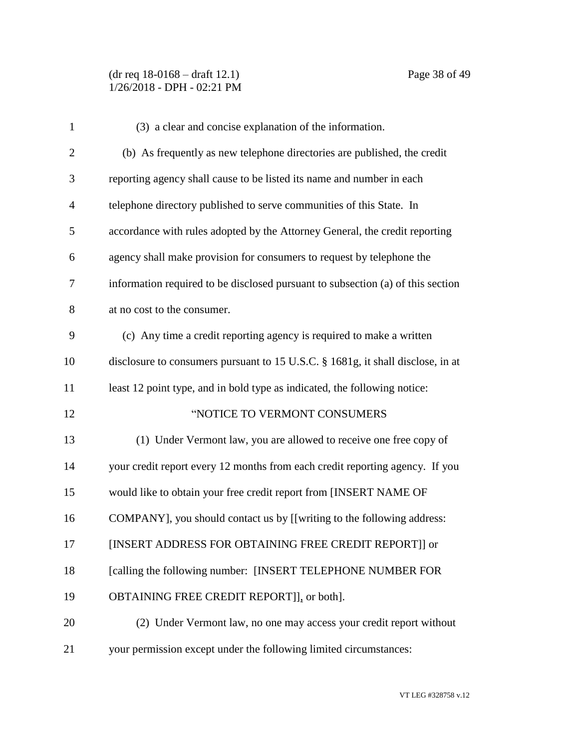(dr req 18-0168 – draft 12.1) Page 38 of 49 1/26/2018 - DPH - 02:21 PM

| $\mathbf{1}$   | (3) a clear and concise explanation of the information.                         |
|----------------|---------------------------------------------------------------------------------|
| $\mathbf{2}$   | (b) As frequently as new telephone directories are published, the credit        |
| 3              | reporting agency shall cause to be listed its name and number in each           |
| $\overline{4}$ | telephone directory published to serve communities of this State. In            |
| 5              | accordance with rules adopted by the Attorney General, the credit reporting     |
| 6              | agency shall make provision for consumers to request by telephone the           |
| 7              | information required to be disclosed pursuant to subsection (a) of this section |
| 8              | at no cost to the consumer.                                                     |
| 9              | (c) Any time a credit reporting agency is required to make a written            |
| 10             | disclosure to consumers pursuant to 15 U.S.C. § 1681g, it shall disclose, in at |
| 11             | least 12 point type, and in bold type as indicated, the following notice:       |
| 12             | "NOTICE TO VERMONT CONSUMERS                                                    |
| 13             | (1) Under Vermont law, you are allowed to receive one free copy of              |
| 14             | your credit report every 12 months from each credit reporting agency. If you    |
| 15             | would like to obtain your free credit report from [INSERT NAME OF               |
| 16             | COMPANY], you should contact us by [[writing to the following address:          |
| 17             | [INSERT ADDRESS FOR OBTAINING FREE CREDIT REPORT]] or                           |
| 18             | [calling the following number: [INSERT TELEPHONE NUMBER FOR                     |
| 19             | OBTAINING FREE CREDIT REPORT]], or both].                                       |
| 20             | (2) Under Vermont law, no one may access your credit report without             |
| 21             | your permission except under the following limited circumstances:               |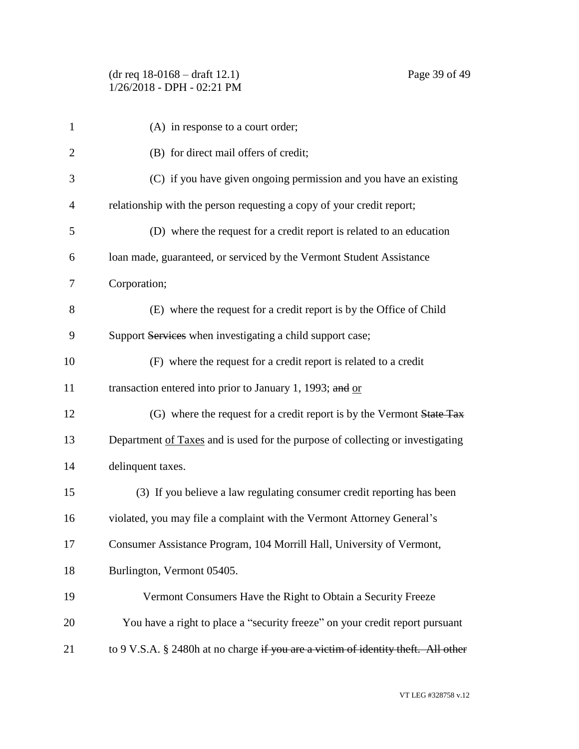| $\mathbf{1}$   | (A) in response to a court order;                                                 |
|----------------|-----------------------------------------------------------------------------------|
| $\overline{2}$ | (B) for direct mail offers of credit;                                             |
| 3              | (C) if you have given ongoing permission and you have an existing                 |
| $\overline{4}$ | relationship with the person requesting a copy of your credit report;             |
| 5              | (D) where the request for a credit report is related to an education              |
| 6              | loan made, guaranteed, or serviced by the Vermont Student Assistance              |
| 7              | Corporation;                                                                      |
| 8              | (E) where the request for a credit report is by the Office of Child               |
| 9              | Support Services when investigating a child support case;                         |
| 10             | (F) where the request for a credit report is related to a credit                  |
| 11             | transaction entered into prior to January 1, 1993; and $or$                       |
| 12             | (G) where the request for a credit report is by the Vermont State Tax             |
| 13             | Department of Taxes and is used for the purpose of collecting or investigating    |
| 14             | delinquent taxes.                                                                 |
| 15             | (3) If you believe a law regulating consumer credit reporting has been            |
| 16             | violated, you may file a complaint with the Vermont Attorney General's            |
| 17             | Consumer Assistance Program, 104 Morrill Hall, University of Vermont,             |
| 18             | Burlington, Vermont 05405.                                                        |
| 19             | Vermont Consumers Have the Right to Obtain a Security Freeze                      |
| 20             | You have a right to place a "security freeze" on your credit report pursuant      |
| 21             | to 9 V.S.A. § 2480h at no charge if you are a victim of identity theft. All other |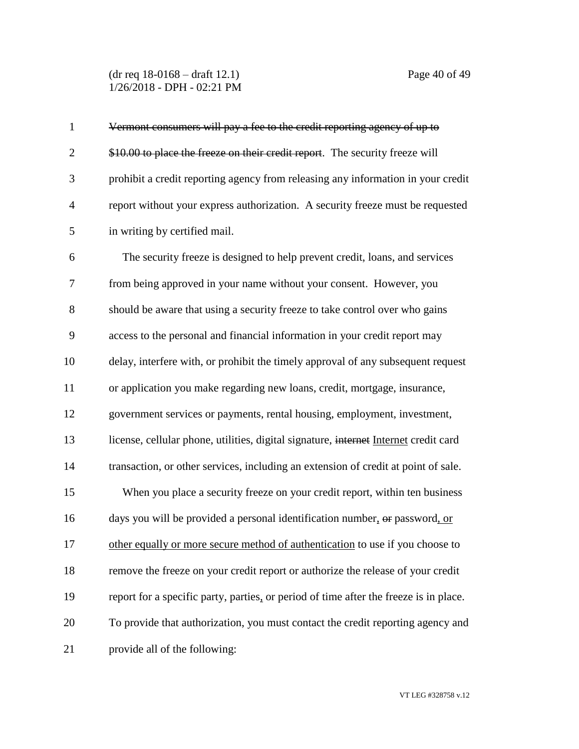(dr req 18-0168 – draft 12.1) Page 40 of 49 1/26/2018 - DPH - 02:21 PM

| $\mathbf{1}$   | Vermont consumers will pay a fee to the credit reporting agency of up to              |
|----------------|---------------------------------------------------------------------------------------|
| $\overline{2}$ | \$10.00 to place the freeze on their credit report. The security freeze will          |
| 3              | prohibit a credit reporting agency from releasing any information in your credit      |
| $\overline{4}$ | report without your express authorization. A security freeze must be requested        |
| 5              | in writing by certified mail.                                                         |
| 6              | The security freeze is designed to help prevent credit, loans, and services           |
| 7              | from being approved in your name without your consent. However, you                   |
| 8              | should be aware that using a security freeze to take control over who gains           |
| 9              | access to the personal and financial information in your credit report may            |
| 10             | delay, interfere with, or prohibit the timely approval of any subsequent request      |
| 11             | or application you make regarding new loans, credit, mortgage, insurance,             |
| 12             | government services or payments, rental housing, employment, investment,              |
| 13             | license, cellular phone, utilities, digital signature, internet Internet credit card  |
| 14             | transaction, or other services, including an extension of credit at point of sale.    |
| 15             | When you place a security freeze on your credit report, within ten business           |
| 16             | days you will be provided a personal identification number, or password, or           |
| 17             | other equally or more secure method of authentication to use if you choose to         |
| 18             | remove the freeze on your credit report or authorize the release of your credit       |
| 19             | report for a specific party, parties, or period of time after the freeze is in place. |
| 20             | To provide that authorization, you must contact the credit reporting agency and       |
| 21             | provide all of the following:                                                         |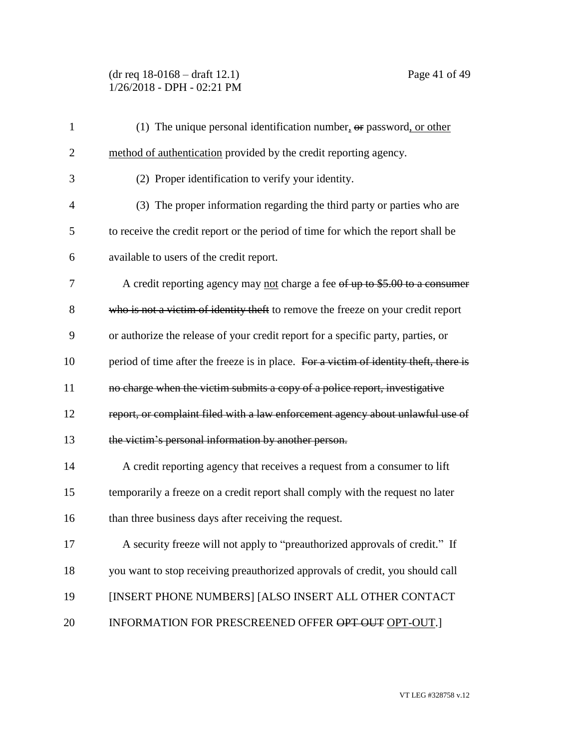(dr req 18-0168 – draft 12.1) Page 41 of 49 1/26/2018 - DPH - 02:21 PM

| $\mathbf{1}$   | (1) The unique personal identification number, $\theta$ password, or other            |
|----------------|---------------------------------------------------------------------------------------|
| $\overline{2}$ | method of authentication provided by the credit reporting agency.                     |
| 3              | (2) Proper identification to verify your identity.                                    |
| 4              | (3) The proper information regarding the third party or parties who are               |
| 5              | to receive the credit report or the period of time for which the report shall be      |
| 6              | available to users of the credit report.                                              |
| 7              | A credit reporting agency may not charge a fee of up to \$5.00 to a consumer          |
| 8              | who is not a victim of identity theft to remove the freeze on your credit report      |
| 9              | or authorize the release of your credit report for a specific party, parties, or      |
| 10             | period of time after the freeze is in place. For a victim of identity theft, there is |
| 11             | no charge when the victim submits a copy of a police report, investigative            |
| 12             | report, or complaint filed with a law enforcement agency about unlawful use of        |
| 13             | the victim's personal information by another person.                                  |
| 14             | A credit reporting agency that receives a request from a consumer to lift             |
| 15             | temporarily a freeze on a credit report shall comply with the request no later        |
| 16             | than three business days after receiving the request.                                 |
| 17             | A security freeze will not apply to "preauthorized approvals of credit." If           |
| 18             | you want to stop receiving preauthorized approvals of credit, you should call         |
| 19             | [INSERT PHONE NUMBERS] [ALSO INSERT ALL OTHER CONTACT                                 |
| 20             | INFORMATION FOR PRESCREENED OFFER OPT OUT OPT-OUT.                                    |
|                |                                                                                       |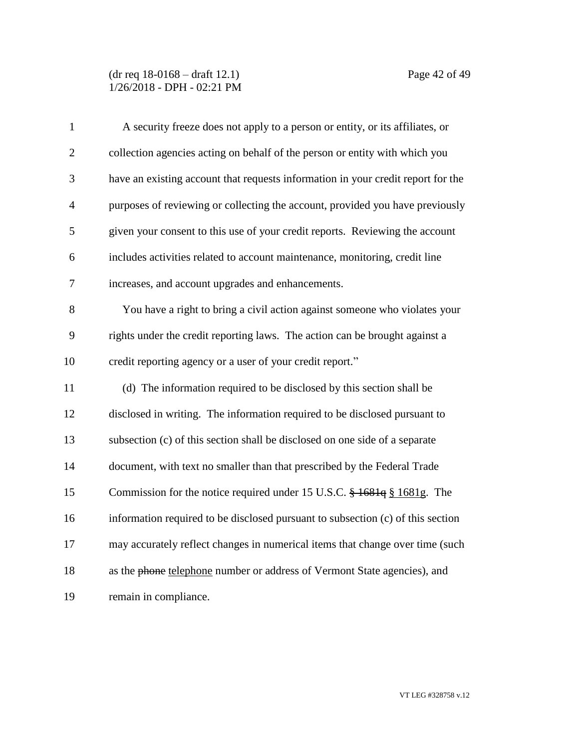#### (dr req 18-0168 – draft 12.1) Page 42 of 49 1/26/2018 - DPH - 02:21 PM

| $\mathbf{1}$   | A security freeze does not apply to a person or entity, or its affiliates, or    |
|----------------|----------------------------------------------------------------------------------|
| $\overline{2}$ | collection agencies acting on behalf of the person or entity with which you      |
| 3              | have an existing account that requests information in your credit report for the |
| $\overline{4}$ | purposes of reviewing or collecting the account, provided you have previously    |
| 5              | given your consent to this use of your credit reports. Reviewing the account     |
| 6              | includes activities related to account maintenance, monitoring, credit line      |
| 7              | increases, and account upgrades and enhancements.                                |
| 8              | You have a right to bring a civil action against someone who violates your       |
| 9              | rights under the credit reporting laws. The action can be brought against a      |
| 10             | credit reporting agency or a user of your credit report."                        |
| 11             | (d) The information required to be disclosed by this section shall be            |
| 12             | disclosed in writing. The information required to be disclosed pursuant to       |
| 13             | subsection (c) of this section shall be disclosed on one side of a separate      |
| 14             | document, with text no smaller than that prescribed by the Federal Trade         |
| 15             | Commission for the notice required under 15 U.S.C. § 1681q § 1681g. The          |
| 16             | information required to be disclosed pursuant to subsection (c) of this section  |
| 17             | may accurately reflect changes in numerical items that change over time (such    |
| 18             | as the phone telephone number or address of Vermont State agencies), and         |
| 19             | remain in compliance.                                                            |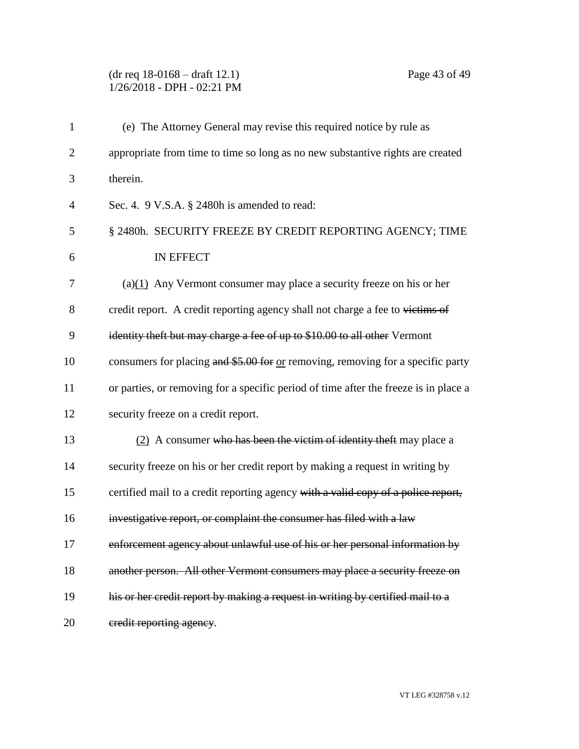# (dr req 18-0168 – draft 12.1) Page 43 of 49 1/26/2018 - DPH - 02:21 PM

| $\mathbf{1}$   | (e) The Attorney General may revise this required notice by rule as                  |
|----------------|--------------------------------------------------------------------------------------|
| $\overline{2}$ | appropriate from time to time so long as no new substantive rights are created       |
| 3              | therein.                                                                             |
| $\overline{4}$ | Sec. 4. 9 V.S.A. § 2480h is amended to read:                                         |
| 5              | § 2480h. SECURITY FREEZE BY CREDIT REPORTING AGENCY; TIME                            |
| 6              | IN EFFECT                                                                            |
| 7              | (a) $(1)$ Any Vermont consumer may place a security freeze on his or her             |
| 8              | credit report. A credit reporting agency shall not charge a fee to victims of        |
| 9              | identity theft but may charge a fee of up to \$10.00 to all other Vermont            |
| 10             | consumers for placing and \$5.00 for or removing, removing for a specific party      |
| 11             | or parties, or removing for a specific period of time after the freeze is in place a |
| 12             | security freeze on a credit report.                                                  |
| 13             | (2) A consumer who has been the victim of identity theft may place a                 |
| 14             | security freeze on his or her credit report by making a request in writing by        |
| 15             | certified mail to a credit reporting agency with a valid copy of a police report,    |
| 16             | investigative report, or complaint the consumer has filed with a law                 |
| 17             | enforcement agency about unlawful use of his or her personal information by          |
| 18             | another person. All other Vermont consumers may place a security freeze on           |
| 19             | his or her credit report by making a request in writing by certified mail to a       |
| 20             | eredit reporting agency.                                                             |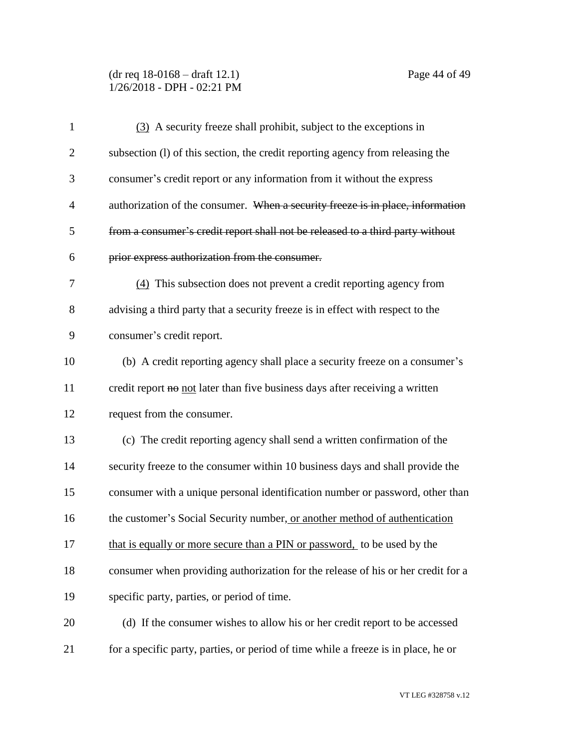(dr req 18-0168 – draft 12.1) Page 44 of 49 1/26/2018 - DPH - 02:21 PM

| $\mathbf{1}$   | (3) A security freeze shall prohibit, subject to the exceptions in                 |
|----------------|------------------------------------------------------------------------------------|
| $\overline{2}$ | subsection (1) of this section, the credit reporting agency from releasing the     |
| 3              | consumer's credit report or any information from it without the express            |
| $\overline{4}$ | authorization of the consumer. When a security freeze is in place, information     |
| 5              | from a consumer's credit report shall not be released to a third party without     |
| 6              | prior express authorization from the consumer.                                     |
| $\overline{7}$ | (4) This subsection does not prevent a credit reporting agency from                |
| 8              | advising a third party that a security freeze is in effect with respect to the     |
| 9              | consumer's credit report.                                                          |
| 10             | (b) A credit reporting agency shall place a security freeze on a consumer's        |
| 11             | credit report no not later than five business days after receiving a written       |
| 12             | request from the consumer.                                                         |
| 13             | (c) The credit reporting agency shall send a written confirmation of the           |
| 14             | security freeze to the consumer within 10 business days and shall provide the      |
| 15             | consumer with a unique personal identification number or password, other than      |
| 16             | the customer's Social Security number, or another method of authentication         |
| 17             | that is equally or more secure than a PIN or password, to be used by the           |
| 18             | consumer when providing authorization for the release of his or her credit for a   |
| 19             | specific party, parties, or period of time.                                        |
| 20             | (d) If the consumer wishes to allow his or her credit report to be accessed        |
| 21             | for a specific party, parties, or period of time while a freeze is in place, he or |

VT LEG #328758 v.12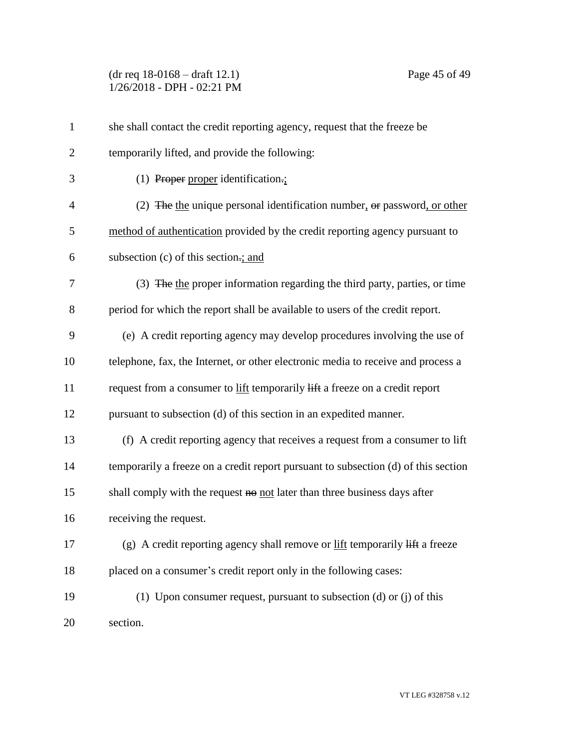(dr req 18-0168 – draft 12.1) Page 45 of 49 1/26/2018 - DPH - 02:21 PM

| $\mathbf{1}$   | she shall contact the credit reporting agency, request that the freeze be                               |
|----------------|---------------------------------------------------------------------------------------------------------|
| $\overline{2}$ | temporarily lifted, and provide the following:                                                          |
| 3              | $(1)$ Proper proper identification.;                                                                    |
| $\overline{4}$ | (2) The the unique personal identification number, $\theta$ re password, or other                       |
| 5              | method of authentication provided by the credit reporting agency pursuant to                            |
| 6              | subsection (c) of this section-; and                                                                    |
| 7              | (3) The the proper information regarding the third party, parties, or time                              |
| 8              | period for which the report shall be available to users of the credit report.                           |
| 9              | (e) A credit reporting agency may develop procedures involving the use of                               |
| 10             | telephone, fax, the Internet, or other electronic media to receive and process a                        |
| 11             | request from a consumer to lift temporarily lift a freeze on a credit report                            |
| 12             | pursuant to subsection (d) of this section in an expedited manner.                                      |
| 13             | (f) A credit reporting agency that receives a request from a consumer to lift                           |
| 14             | temporarily a freeze on a credit report pursuant to subsection (d) of this section                      |
| 15             | shall comply with the request no not later than three business days after                               |
| 16             | receiving the request.                                                                                  |
| 17             | (g) A credit reporting agency shall remove or $\underline{lift}$ temporarily $\overline{lift}$ a freeze |
| 18             | placed on a consumer's credit report only in the following cases:                                       |
| 19             | (1) Upon consumer request, pursuant to subsection (d) or (j) of this                                    |
| 20             | section.                                                                                                |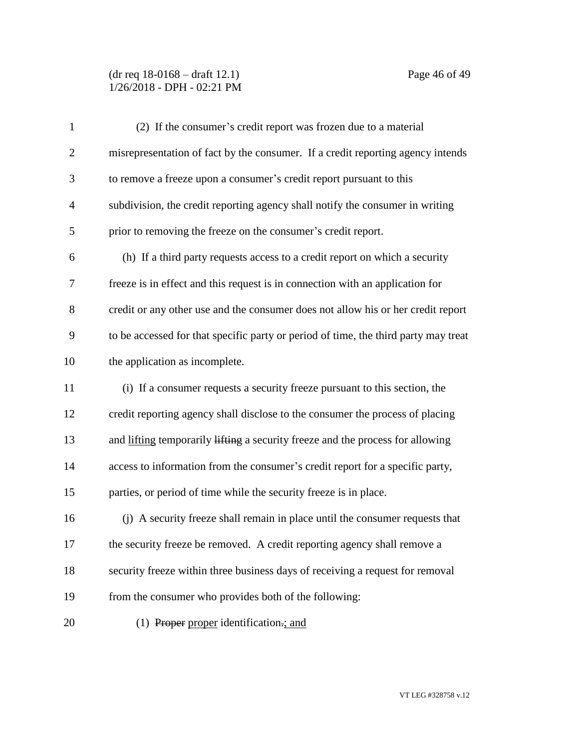#### (dr req 18-0168 – draft 12.1) Page 46 of 49 1/26/2018 - DPH - 02:21 PM

| $\mathbf{1}$   | (2) If the consumer's credit report was frozen due to a material                    |
|----------------|-------------------------------------------------------------------------------------|
| $\overline{2}$ | misrepresentation of fact by the consumer. If a credit reporting agency intends     |
| 3              | to remove a freeze upon a consumer's credit report pursuant to this                 |
| $\overline{4}$ | subdivision, the credit reporting agency shall notify the consumer in writing       |
| 5              | prior to removing the freeze on the consumer's credit report.                       |
| 6              | (h) If a third party requests access to a credit report on which a security         |
| $\tau$         | freeze is in effect and this request is in connection with an application for       |
| 8              | credit or any other use and the consumer does not allow his or her credit report    |
| 9              | to be accessed for that specific party or period of time, the third party may treat |
| 10             | the application as incomplete.                                                      |
| 11             | (i) If a consumer requests a security freeze pursuant to this section, the          |
| 12             | credit reporting agency shall disclose to the consumer the process of placing       |
| 13             | and lifting temporarily lifting a security freeze and the process for allowing      |
| 14             | access to information from the consumer's credit report for a specific party,       |
| 15             | parties, or period of time while the security freeze is in place.                   |
| 16             | (j) A security freeze shall remain in place until the consumer requests that        |
| 17             | the security freeze be removed. A credit reporting agency shall remove a            |
| 18             | security freeze within three business days of receiving a request for removal       |
| 19             | from the consumer who provides both of the following:                               |
| 20             | (1) Proper proper identification.; and                                              |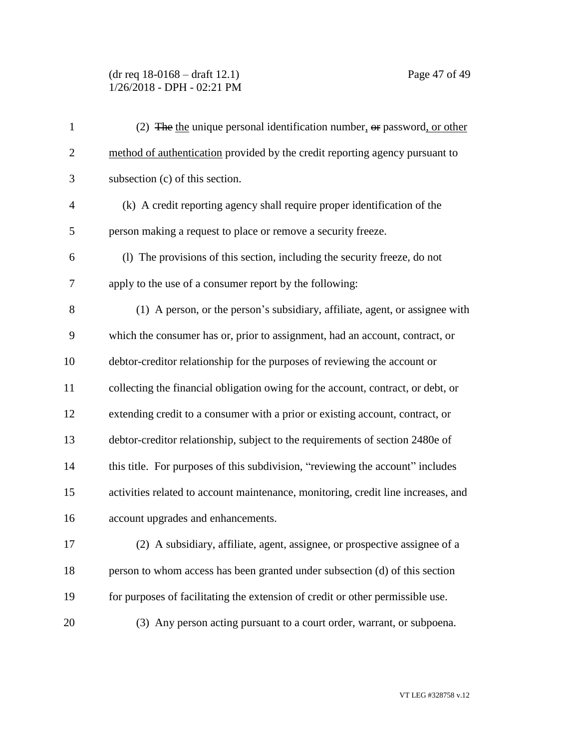#### (dr req 18-0168 – draft 12.1) Page 47 of 49 1/26/2018 - DPH - 02:21 PM

| $\mathbf{1}$   | (2) The the unique personal identification number, or password, or other          |
|----------------|-----------------------------------------------------------------------------------|
| $\overline{2}$ | method of authentication provided by the credit reporting agency pursuant to      |
| 3              | subsection (c) of this section.                                                   |
| $\overline{4}$ | (k) A credit reporting agency shall require proper identification of the          |
| 5              | person making a request to place or remove a security freeze.                     |
| 6              | (1) The provisions of this section, including the security freeze, do not         |
| $\tau$         | apply to the use of a consumer report by the following:                           |
| 8              | (1) A person, or the person's subsidiary, affiliate, agent, or assignee with      |
| 9              | which the consumer has or, prior to assignment, had an account, contract, or      |
| 10             | debtor-creditor relationship for the purposes of reviewing the account or         |
| 11             | collecting the financial obligation owing for the account, contract, or debt, or  |
| 12             | extending credit to a consumer with a prior or existing account, contract, or     |
| 13             | debtor-creditor relationship, subject to the requirements of section 2480e of     |
| 14             | this title. For purposes of this subdivision, "reviewing the account" includes    |
| 15             | activities related to account maintenance, monitoring, credit line increases, and |
| 16             | account upgrades and enhancements.                                                |
| 17             | (2) A subsidiary, affiliate, agent, assignee, or prospective assignee of a        |
| 18             | person to whom access has been granted under subsection (d) of this section       |
| 19             | for purposes of facilitating the extension of credit or other permissible use.    |
| 20             | (3) Any person acting pursuant to a court order, warrant, or subpoena.            |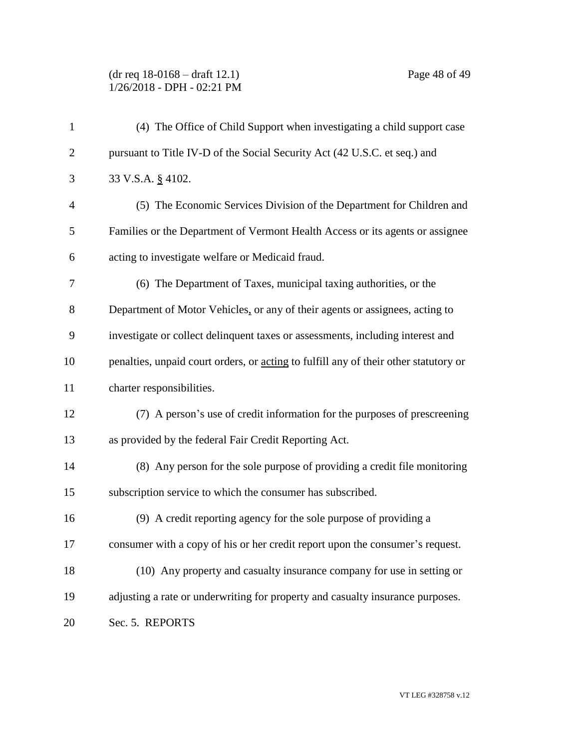(dr req 18-0168 – draft 12.1) Page 48 of 49 1/26/2018 - DPH - 02:21 PM

| $\mathbf{1}$   | (4) The Office of Child Support when investigating a child support case              |
|----------------|--------------------------------------------------------------------------------------|
| $\overline{2}$ | pursuant to Title IV-D of the Social Security Act (42 U.S.C. et seq.) and            |
| 3              | 33 V.S.A. § 4102.                                                                    |
| $\overline{4}$ | (5) The Economic Services Division of the Department for Children and                |
| 5              | Families or the Department of Vermont Health Access or its agents or assignee        |
| 6              | acting to investigate welfare or Medicaid fraud.                                     |
| 7              | (6) The Department of Taxes, municipal taxing authorities, or the                    |
| 8              | Department of Motor Vehicles, or any of their agents or assignees, acting to         |
| 9              | investigate or collect delinquent taxes or assessments, including interest and       |
| 10             | penalties, unpaid court orders, or acting to fulfill any of their other statutory or |
| 11             | charter responsibilities.                                                            |
| 12             | (7) A person's use of credit information for the purposes of prescreening            |
| 13             | as provided by the federal Fair Credit Reporting Act.                                |
| 14             | (8) Any person for the sole purpose of providing a credit file monitoring            |
| 15             | subscription service to which the consumer has subscribed.                           |
| 16             | (9) A credit reporting agency for the sole purpose of providing a                    |
| 17             | consumer with a copy of his or her credit report upon the consumer's request.        |
| 18             | (10) Any property and casualty insurance company for use in setting or               |
| 19             | adjusting a rate or underwriting for property and casualty insurance purposes.       |
| 20             | Sec. 5. REPORTS                                                                      |